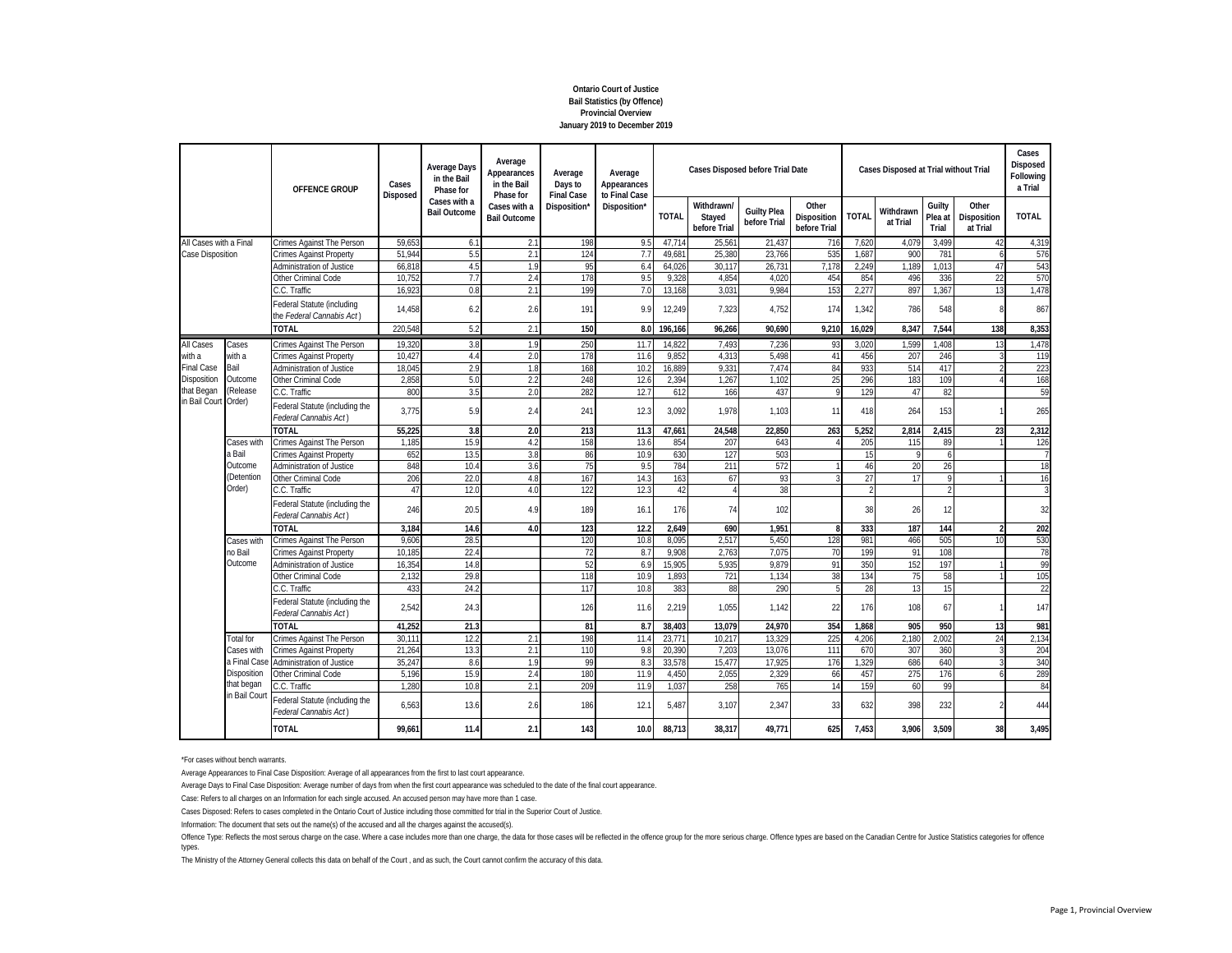# **January 2019 to December 2019 Provincial Overview Bail Statistics (by Offence) Ontario Court of Justice**

|                                                                                                 |                                                   | OFFENCE GROUP<br>Crimes Against The Person<br><b>Crimes Against Property</b><br>Administration of Justice<br>Other Criminal Code<br>C.C. Traffic<br>Federal Statute (including<br>the Federal Cannabis Act)<br><b>TOTAL</b><br>Crimes Against The Person<br><b>Crimes Against Property</b><br><b>Administration of Justice</b><br>Other Criminal Code<br>C.C. Traffic<br>Federal Statute (including the<br>Federal Cannabis Act)<br>TOTAL<br>Crimes Against The Person<br>Crimes Against Property<br>Administration of Justice<br>Other Criminal Code<br>C.C. Traffic<br>Federal Statute (including the<br>Federal Cannabis Act)<br><b>TOTAL</b> | Cases<br>Disposed | <b>Average Days</b><br>in the Bail<br>Phase for | Average<br>Appearances<br>in the Bail<br>Phase for | Average<br>Days to<br><b>Final Case</b> | Average<br>Appearances<br>to Final Case |                |                                      | Cases Disposed before Trial Date   |                                      |              | Cases Disposed at Trial without Trial |                            |                                  | Cases<br>Disposed<br>Following<br>a Trial |
|-------------------------------------------------------------------------------------------------|---------------------------------------------------|--------------------------------------------------------------------------------------------------------------------------------------------------------------------------------------------------------------------------------------------------------------------------------------------------------------------------------------------------------------------------------------------------------------------------------------------------------------------------------------------------------------------------------------------------------------------------------------------------------------------------------------------------|-------------------|-------------------------------------------------|----------------------------------------------------|-----------------------------------------|-----------------------------------------|----------------|--------------------------------------|------------------------------------|--------------------------------------|--------------|---------------------------------------|----------------------------|----------------------------------|-------------------------------------------|
|                                                                                                 |                                                   |                                                                                                                                                                                                                                                                                                                                                                                                                                                                                                                                                                                                                                                  |                   | Cases with a<br><b>Bail Outcome</b>             | Cases with a<br><b>Bail Outcome</b>                | Disposition'                            | Disposition*                            | <b>TOTAL</b>   | Withdrawn/<br>Stayed<br>before Trial | <b>Guilty Plea</b><br>before Trial | Other<br>Disposition<br>before Trial | <b>TOTAL</b> | Withdrawn<br>at Trial                 | Guilty<br>Plea at<br>Trial | Other<br>Disposition<br>at Trial | <b>TOTAL</b>                              |
|                                                                                                 |                                                   |                                                                                                                                                                                                                                                                                                                                                                                                                                                                                                                                                                                                                                                  | 59,65             | 6.1                                             | 2.1                                                | 198                                     | 9.5                                     | 47.714         | 25.561                               | 21,437                             | 716                                  | 7,620        | 4,079                                 | 3,499                      | 42                               | 4,319                                     |
| All Cases with a Final<br>Case Disposition<br>Cases<br>with a<br>Bail<br>Disposition<br>Outcome |                                                   | 51.94                                                                                                                                                                                                                                                                                                                                                                                                                                                                                                                                                                                                                                            | 5.5               | 2.1                                             | 124                                                | 7.7                                     | 49.68                                   | 25.380         | 23.766                               | 535                                | 1.687                                | 900          | 781                                   | $\overline{6}$             | 576                              |                                           |
|                                                                                                 | that Began<br>(Release<br>in Bail Cour<br>(Order) |                                                                                                                                                                                                                                                                                                                                                                                                                                                                                                                                                                                                                                                  | 66,81             | 4.5                                             | 1.9                                                | 95                                      | 6.4                                     | 64,026         | 30,117                               | 26,731                             | 7,178                                | 2,249        | 1,189                                 | 1,013                      | 47                               | 543                                       |
|                                                                                                 |                                                   |                                                                                                                                                                                                                                                                                                                                                                                                                                                                                                                                                                                                                                                  | 10.752            | 7.7                                             | 2.4                                                | 178                                     | 9!                                      | 9,328          | 4.854                                | 4.020                              | 454                                  | 854          | 496                                   | 336                        | 22                               | 570                                       |
|                                                                                                 |                                                   |                                                                                                                                                                                                                                                                                                                                                                                                                                                                                                                                                                                                                                                  | 16.92             | 0.8                                             | 2.1                                                | 199                                     | 7.0                                     | 13,168         | 3,031                                | 9.984                              | 153                                  | 2.277        | 897                                   | 1.367                      | 13                               | 1,478                                     |
|                                                                                                 |                                                   |                                                                                                                                                                                                                                                                                                                                                                                                                                                                                                                                                                                                                                                  | 14.458            | 6.2                                             | 2.6                                                | 191                                     | 9.9                                     | 12,249         | 7.323                                | 4.752                              | 174                                  | 1.342        | 786                                   | 548                        | 8                                | 867                                       |
|                                                                                                 |                                                   |                                                                                                                                                                                                                                                                                                                                                                                                                                                                                                                                                                                                                                                  | 220,548           | 5.2                                             | 2.1                                                | 150                                     | 8.0                                     | 196,166        | 96,266                               | 90,690                             | 9,210                                | 16,029       | 8,347                                 | 7,544                      | 138                              | 8,353                                     |
| <b>All Cases</b>                                                                                |                                                   |                                                                                                                                                                                                                                                                                                                                                                                                                                                                                                                                                                                                                                                  | 19,320            | 3.8                                             | 1.9                                                | 250                                     | 11.7                                    | 14,822         | 7,493                                | 7,236                              | 93                                   | 3,020        | 1,599                                 | 1,408                      | 13                               | 1,478                                     |
| with a                                                                                          |                                                   |                                                                                                                                                                                                                                                                                                                                                                                                                                                                                                                                                                                                                                                  | 10,427            | 4.4                                             | 2.0                                                | 178                                     | 11.6                                    | 9,852          | 4.313                                | 5,498                              | 41                                   | 456          | 207                                   | 246                        |                                  | 119                                       |
| <b>Final Case</b>                                                                               |                                                   |                                                                                                                                                                                                                                                                                                                                                                                                                                                                                                                                                                                                                                                  | 18,04             | 2.9                                             | 1.8                                                | 168                                     | 10.2                                    | 16,889         | 9,331                                | 7,474                              | 84                                   | 933          | 514                                   | 417                        |                                  | 223                                       |
|                                                                                                 |                                                   |                                                                                                                                                                                                                                                                                                                                                                                                                                                                                                                                                                                                                                                  | 2,858             | 5.0                                             | 2.2                                                | 248                                     | 12.6                                    | 2,394          | 1,267                                | 1,102                              | 25                                   | 296          | 183                                   | 109                        |                                  | 168                                       |
|                                                                                                 |                                                   |                                                                                                                                                                                                                                                                                                                                                                                                                                                                                                                                                                                                                                                  | 800               | 3.5                                             | 2.0                                                | 282                                     | 12.7                                    | 612            | 166                                  | 437                                | 9                                    | 129          | 47                                    | 82                         |                                  | 59                                        |
|                                                                                                 |                                                   |                                                                                                                                                                                                                                                                                                                                                                                                                                                                                                                                                                                                                                                  | 3.775             | 5.9                                             | 2.4                                                | 241                                     | 12.3                                    | 3.092          | 1.978                                | 1.103                              | 11                                   | 418          | 264                                   | 153                        |                                  | 265                                       |
|                                                                                                 |                                                   |                                                                                                                                                                                                                                                                                                                                                                                                                                                                                                                                                                                                                                                  | 55.225            | 3.8                                             | 2.0                                                | 213                                     | 11.3                                    | 47.661         | 24.548                               | 22.850                             | 263                                  | 5.252        | 2.814                                 | 2.415                      | 23                               | 2,312                                     |
|                                                                                                 | Cases with                                        |                                                                                                                                                                                                                                                                                                                                                                                                                                                                                                                                                                                                                                                  | 1.185             | 15.9                                            | 4.2                                                | 158                                     | 13.6                                    | 854            | 207                                  | 643                                |                                      | 205          | 115                                   | 89                         |                                  | 126                                       |
|                                                                                                 | a Bail                                            |                                                                                                                                                                                                                                                                                                                                                                                                                                                                                                                                                                                                                                                  | 652               | 13.5                                            | 3.8                                                | 86                                      | 10.9                                    | 630            | 127                                  | 503                                |                                      | 15           | Q                                     | 6                          |                                  | $\overline{7}$                            |
|                                                                                                 |                                                   |                                                                                                                                                                                                                                                                                                                                                                                                                                                                                                                                                                                                                                                  | 848               | 10.4                                            | 3.6                                                | 75                                      | 9.5                                     | 784            | 211                                  | 572                                |                                      | 46           | 20                                    | 26                         |                                  | 18                                        |
|                                                                                                 | Outcome<br>(Detention<br>Order)                   |                                                                                                                                                                                                                                                                                                                                                                                                                                                                                                                                                                                                                                                  | 206               | 22.0                                            | 4.8                                                | 167                                     | 14.3                                    | 163            | 67                                   | 93                                 |                                      | 27           | 17                                    | 9                          |                                  | 16                                        |
|                                                                                                 |                                                   | 47                                                                                                                                                                                                                                                                                                                                                                                                                                                                                                                                                                                                                                               | 12.0              | 4.0                                             | 122                                                | 12.3                                    | 42                                      | $\overline{4}$ | 38                                   |                                    |                                      |              | $\mathfrak{p}$                        |                            | $\overline{3}$                   |                                           |
|                                                                                                 |                                                   | 246                                                                                                                                                                                                                                                                                                                                                                                                                                                                                                                                                                                                                                              | 20.5              | 4.9                                             | 189                                                | 16.1                                    | 176                                     | 74             | 102                                  |                                    | 38                                   | 26           | 12                                    |                            | 32                               |                                           |
|                                                                                                 |                                                   |                                                                                                                                                                                                                                                                                                                                                                                                                                                                                                                                                                                                                                                  | 3,184             | 14.6                                            | 4.0                                                | 123                                     | 12.2                                    | 2,649          | 690                                  | 1,951                              | 8                                    | 333          | 187                                   | 144                        |                                  | 202                                       |
| Cases with                                                                                      | Crimes Against The Person                         | 9,606                                                                                                                                                                                                                                                                                                                                                                                                                                                                                                                                                                                                                                            | 28.5              |                                                 | 120                                                | 10.8                                    | 8.095                                   | 2,517          | 5,450                                | 128                                | 981                                  | 466          | 505                                   | 10                         | 530                              |                                           |
|                                                                                                 |                                                   | <b>Crimes Against Property</b>                                                                                                                                                                                                                                                                                                                                                                                                                                                                                                                                                                                                                   | 10.18             | 22.4                                            |                                                    | 72                                      | 8.7                                     | 9.908          | 2.763                                | 7.075                              | 70                                   | 199          | 91                                    | 108                        |                                  | 78                                        |
|                                                                                                 |                                                   | Administration of Justice                                                                                                                                                                                                                                                                                                                                                                                                                                                                                                                                                                                                                        | 16,354            | 14.8                                            |                                                    | 52                                      | 6.9                                     | 15,905         | 5,935                                | 9,879                              | 91                                   | 35C          | 152                                   | 197                        |                                  | 99                                        |
| no Bail<br>Outcome                                                                              | Other Criminal Code                               | 2,132                                                                                                                                                                                                                                                                                                                                                                                                                                                                                                                                                                                                                                            | 29.8              |                                                 | 118                                                | 10.9                                    | 1,893                                   | 721            | 1,134                                | 38                                 | 134                                  | 75           | 58                                    |                            | 105                              |                                           |
|                                                                                                 | <b>Total</b> for<br>Cases with<br>a Final Cas     | C.C. Traffic                                                                                                                                                                                                                                                                                                                                                                                                                                                                                                                                                                                                                                     | 433               | 24.2                                            |                                                    | 117                                     | 10.8                                    | 383            | 88                                   | 290                                |                                      | 28           | 13                                    | 15                         |                                  | 22                                        |
|                                                                                                 |                                                   | Federal Statute (including the<br>Federal Cannabis Act)                                                                                                                                                                                                                                                                                                                                                                                                                                                                                                                                                                                          | 2,542             | 24.3                                            |                                                    | 126                                     | 11.6                                    | 2,219          | 1,055                                | 1,142                              | 22                                   | 176          | 108                                   | 67                         |                                  | 147                                       |
|                                                                                                 |                                                   | <b>TOTAL</b>                                                                                                                                                                                                                                                                                                                                                                                                                                                                                                                                                                                                                                     | 41,252            | 21.3                                            |                                                    | 81                                      | 8.7                                     | 38,403         | 13,079                               | 24,970                             | 354                                  | 1,868        | 905                                   | 950                        | 13                               | 981                                       |
|                                                                                                 |                                                   | Crimes Against The Person                                                                                                                                                                                                                                                                                                                                                                                                                                                                                                                                                                                                                        | 30.11             | 12.2                                            | 2.1                                                | 198                                     | 11.4                                    | 23.771         | 10,217                               | 13.329                             | 225                                  | 4.206        | 2.180                                 | 2.002                      | 24                               | 2,134                                     |
|                                                                                                 |                                                   | <b>Crimes Against Property</b>                                                                                                                                                                                                                                                                                                                                                                                                                                                                                                                                                                                                                   | 21.264            | 13.3                                            | 2.1                                                | 110                                     | 9.8                                     | 20.390         | 7.203                                | 13.076                             | 111                                  | 670          | 307                                   | 360                        |                                  | 204                                       |
| Disposition<br>that began<br>in Bail Cour                                                       | <b>Administration of Justice</b>                  | 35,24                                                                                                                                                                                                                                                                                                                                                                                                                                                                                                                                                                                                                                            | 8.6               | 1.9                                             | 99                                                 | 8.3                                     | 33,578                                  | 15,477         | 17,925                               | 176                                | 1,329                                | 686          | 640                                   |                            | 340                              |                                           |
|                                                                                                 | Other Criminal Code                               | 5.196                                                                                                                                                                                                                                                                                                                                                                                                                                                                                                                                                                                                                                            | 15.9              | 2.4                                             | 180                                                | 11.9                                    | 4.450                                   | 2.055          | 2.329                                | 66                                 | 457                                  | 275          | 176                                   | $\overline{a}$             | 289                              |                                           |
|                                                                                                 | C.C. Traffic                                      | 1.280                                                                                                                                                                                                                                                                                                                                                                                                                                                                                                                                                                                                                                            | 10.8              | 2.1                                             | 209                                                | 11.9                                    | 1.037                                   | 258            | 765                                  | 14                                 | 159                                  | 60           | 99                                    |                            | 84                               |                                           |
|                                                                                                 |                                                   | Federal Statute (including the<br>Federal Cannabis Act)                                                                                                                                                                                                                                                                                                                                                                                                                                                                                                                                                                                          | 6.563             | 13.6                                            | 2.6                                                | 186                                     | 12.1                                    | 5.487          | 3.107                                | 2.347                              | 33                                   | 632          | 398                                   | 232                        | $\mathfrak{p}$                   | 444                                       |
|                                                                                                 |                                                   | <b>TOTAL</b>                                                                                                                                                                                                                                                                                                                                                                                                                                                                                                                                                                                                                                     | 99,661            | 11.4                                            | 2.1                                                | 143                                     | 10.0                                    | 88,713         | 38,317                               | 49.771                             | 625                                  | 7,453        | 3.906                                 | 3,509                      | 38                               | 3,495                                     |

\*For cases without bench warrants.

Average Appearances to Final Case Disposition: Average of all appearances from the first to last court appearance.

Average Days to Final Case Disposition: Average number of days from when the first court appearance was scheduled to the date of the final court appearance.

Case: Refers to all charges on an Information for each single accused. An accused person may have more than 1 case.

Cases Disposed: Refers to cases completed in the Ontario Court of Justice including those committed for trial in the Superior Court of Justice.

Information: The document that sets out the name(s) of the accused and all the charges against the accused(s).

Offence Type: Reflects the most serous charge on the case. Where a case includes more than one charge, the data for those cases will be reflected in the offence group for the more exious charge. Offence types are based on types.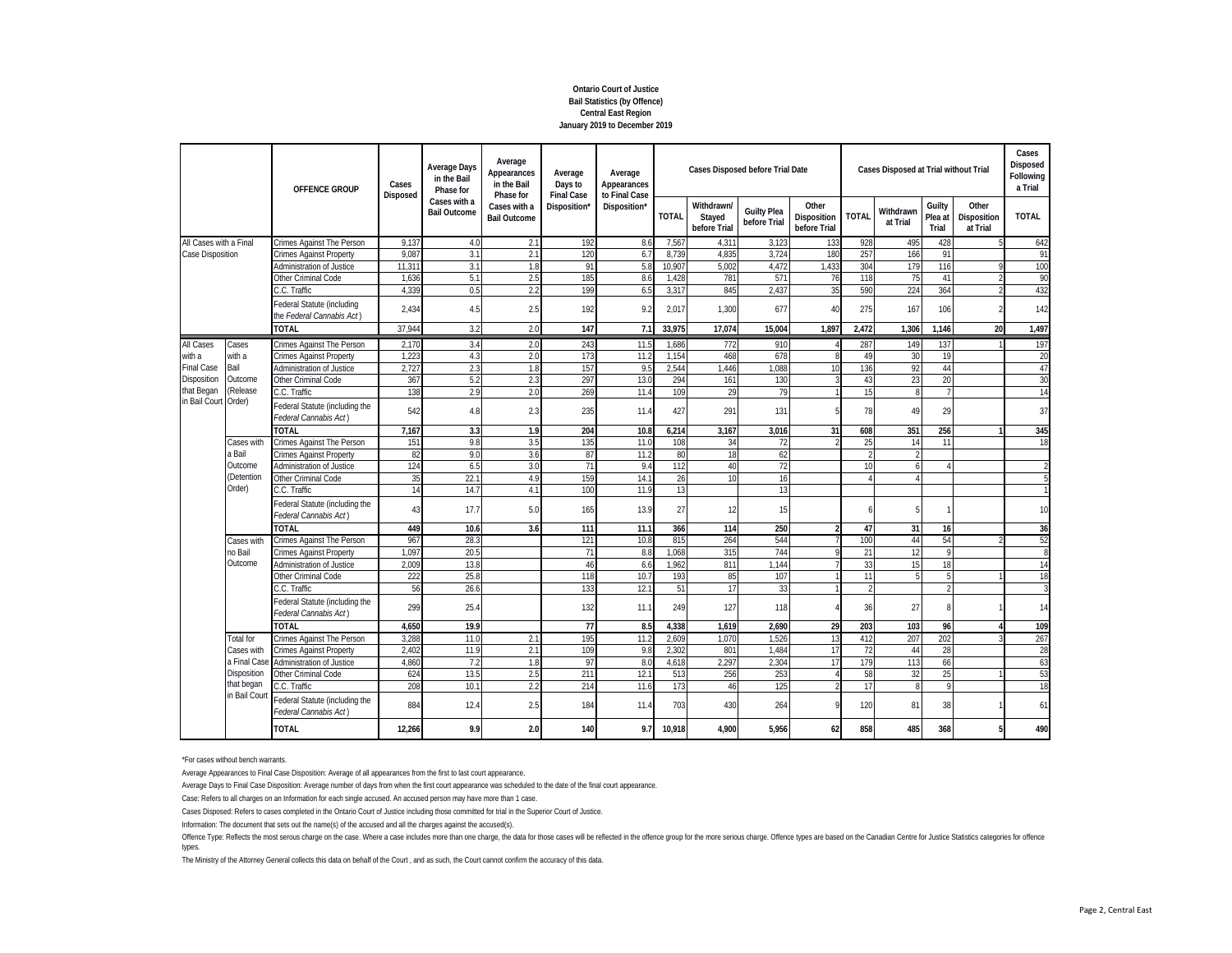# **Ontario Court of Justice Bail Statistics (by Offence) Central East Region January 2019 to December 2019**

|                        |                     | <b>OFFENCE GROUP</b><br>Crimes Against The Person<br><b>Crimes Against Property</b><br><b>Administration of Justice</b> | Cases           | <b>Average Days</b><br>in the Bail<br>Phase for | Average<br>Appearances<br>in the Bail<br>Phase for | Average<br>Days to<br><b>Final Case</b> | Average<br>Appearances<br>to Final Case |              | Cases Disposed before Trial Date     |                                    |                                      |              | Cases Disposed at Trial without Trial |                            |                                  | Cases<br>Disposed<br>Following<br>a Trial |
|------------------------|---------------------|-------------------------------------------------------------------------------------------------------------------------|-----------------|-------------------------------------------------|----------------------------------------------------|-----------------------------------------|-----------------------------------------|--------------|--------------------------------------|------------------------------------|--------------------------------------|--------------|---------------------------------------|----------------------------|----------------------------------|-------------------------------------------|
|                        |                     |                                                                                                                         | <b>Disposed</b> | Cases with a<br><b>Bail Outcome</b>             | Cases with a<br><b>Bail Outcome</b>                | Disposition'                            | Disposition*                            | <b>TOTAL</b> | Withdrawn/<br>Stayed<br>before Trial | <b>Guilty Plea</b><br>before Trial | Other<br>Disposition<br>before Trial | <b>TOTAL</b> | Withdrawn<br>at Trial                 | Guilty<br>Plea at<br>Trial | Other<br>Disposition<br>at Trial | <b>TOTAL</b>                              |
| All Cases with a Final |                     |                                                                                                                         | 9.137           | 4.0                                             | 2.1                                                | 192                                     | 8.6                                     | 7,567        | 4,311                                | 3,123                              | 133                                  | 928          | 495                                   | 428                        |                                  | 642                                       |
| Case Disposition       |                     |                                                                                                                         | 9.087           | 3.1                                             | 2.1                                                | 120                                     | 6.7                                     | 8.739        | 4.835                                | 3.724                              | 180                                  | 257          | 166                                   | 91                         |                                  | 91                                        |
|                        |                     |                                                                                                                         | 11,31           | 3.1                                             | 1.8                                                | 91                                      | 5.8                                     | 10,907       | 5,002                                | 4,472                              | 1,433                                | 304          | 179                                   | 116                        |                                  | 100                                       |
|                        |                     | Other Criminal Code                                                                                                     | 1,636           | 5.1                                             | 2.5                                                | 185                                     | 8.6                                     | 1,428        | 781                                  | 571                                | 76                                   | 118          | 75                                    | 41                         |                                  | 90                                        |
|                        |                     | C.C. Traffic                                                                                                            | 4,339           | 0.5                                             | 2.2                                                | 199                                     | 6.5                                     | 3,317        | 845                                  | 2,437                              | 35                                   | 590          | 224                                   | 364                        |                                  | 432                                       |
|                        |                     | Federal Statute (including<br>the Federal Cannabis Act)                                                                 | 2.434           | 4.5                                             | 2.5                                                | 192                                     | 9.2                                     | 2.017        | 1.300                                | 677                                | 40                                   | 275          | 167                                   | 106                        | $\mathfrak{p}$                   | 142                                       |
|                        |                     | <b>TOTAL</b>                                                                                                            | 37.944          | 3.2                                             | 2.0                                                | 147                                     | 7.1                                     | 33,975       | 17.074                               | 15.004                             | 1.897                                | 2.472        | 1.306                                 | 1.146                      | 20                               | 1,497                                     |
| All Cases              | Cases               | Crimes Against The Person                                                                                               | 2,170           | 3.4                                             | 2.0                                                | 243                                     | 11.5                                    | 1,686        | 772                                  | 910                                | $\Delta$                             | 287          | 149                                   | 137                        |                                  | 197                                       |
| with a                 | with a              | <b>Crimes Against Property</b>                                                                                          | 1,22            | 4.3                                             | 2.0                                                | 173                                     | 11.                                     | 1,154        | 468                                  | 678                                | Q                                    | 49           | 30                                    | 19                         |                                  | 20                                        |
| <b>Final Case</b>      | Bail                | <b>Administration of Justice</b>                                                                                        | 2.727           | 2.3                                             | 1.8                                                | 157                                     | 9.5                                     | 2,544        | 1.446                                | 1.088                              | 10                                   | 136          | 92                                    | 44                         |                                  | 47                                        |
| Disposition            | Outcome             | Other Criminal Code                                                                                                     | 367             | 5.2                                             | 2.3                                                | 297                                     | 13.0                                    | 294          | 161                                  | 130                                |                                      | 43           | 23                                    | 20                         |                                  | 30                                        |
| hat Began              | (Release            | C.C. Traffic                                                                                                            | 138             | 2.9                                             | 2.0                                                | 269                                     | 11.4                                    | 109          | 29                                   | 79                                 |                                      | 15           | 8                                     | $\overline{7}$             |                                  | 14                                        |
| in Bail Courl          | Order)              | Federal Statute (including the<br>Federal Cannabis Act)                                                                 | 542             | 4.8                                             | 2.3                                                | 235                                     | 11.4                                    | 427          | 291                                  | 131                                | 5                                    | 78           | 49                                    | 29                         |                                  | 37                                        |
|                        |                     | <b>TOTAL</b>                                                                                                            | 7.167           | 3.3                                             | 1.9                                                | 204                                     | 10.8                                    | 6,214        | 3.167                                | 3,016                              | 31                                   | 608          | 351                                   | 256                        |                                  | 345                                       |
|                        | Cases with          | Crimes Against The Person                                                                                               | 151             | 9.8                                             | 3.5                                                | 135                                     | 11.0                                    | 108          | 34                                   | 72                                 |                                      | 25           | 14                                    | 11                         |                                  | 18                                        |
|                        | a Bail              | <b>Crimes Against Property</b>                                                                                          | 82              | 9.0                                             | 3.6                                                | 87                                      | 11.                                     | 80           | 18                                   | 62                                 |                                      |              |                                       |                            |                                  |                                           |
|                        | Outcome             | Administration of Justice                                                                                               | 124             | 6.5                                             | 3.0                                                | 71                                      | 9.4                                     | 112          | 40                                   | 72                                 |                                      | 10           | 6                                     | $\Lambda$                  |                                  | $\mathfrak{p}$                            |
|                        | (Detention          | Other Criminal Code                                                                                                     | 35              | 22.1                                            | 4.9                                                | 159                                     | 14.                                     | 26           | 10                                   | 16                                 |                                      |              |                                       |                            |                                  |                                           |
|                        | Order)              | C.C. Traffic                                                                                                            | 14              | 14.7                                            | 4.1                                                | 100                                     | 11.9                                    | 13           |                                      | 13                                 |                                      |              |                                       |                            |                                  |                                           |
|                        |                     | Federal Statute (including the<br>Federal Cannabis Act)                                                                 | 43              | 17.7                                            | 5.0                                                | 165                                     | 13.9                                    | 27           | 12                                   | 15                                 |                                      |              |                                       | $\mathbf{1}$               |                                  | 10                                        |
|                        |                     | TOTAL                                                                                                                   | 449             | 10.6                                            | 3.6                                                | 111                                     | 11.1                                    | 366          | 114                                  | 250                                | C                                    | 47           | 31                                    | 16                         |                                  | 36                                        |
|                        | Cases with          | Crimes Against The Person                                                                                               | 967             | 28.3                                            |                                                    | 121                                     | 10.8                                    | 815          | 264                                  | 544                                |                                      | 100          | 44                                    | 54                         |                                  | 52                                        |
|                        | no Bail             | <b>Crimes Against Property</b>                                                                                          | 1.097           | 20.5                                            |                                                    | 71                                      | 8.8                                     | 1.068        | 315                                  | 744                                |                                      | 21           | 12                                    | 9                          |                                  | 8                                         |
|                        | Outcome             | Administration of Justice                                                                                               | 2,009           | 13.8                                            |                                                    | 46                                      | 6.6                                     | 1,962        | 811                                  | 1,144                              |                                      | 33           | 15                                    | 18                         |                                  | 14                                        |
|                        |                     | Other Criminal Code                                                                                                     | 222             | 25.8                                            |                                                    | 118                                     | 10.7                                    | 193          | 85                                   | 107                                |                                      | 11           |                                       | 5                          |                                  | 18                                        |
|                        |                     | C.C. Traffic                                                                                                            | 56              | 26.6                                            |                                                    | 133                                     | 12.1                                    | 51           | 17                                   | 33                                 |                                      |              |                                       | $\overline{\phantom{a}}$   |                                  |                                           |
|                        |                     | Federal Statute (including the<br>Federal Cannabis Act)                                                                 | 299             | 25.4                                            |                                                    | 132                                     | 11.1                                    | 249          | 127                                  | 118                                |                                      | 36           | 27                                    | 8                          |                                  | 14                                        |
|                        |                     | <b>TOTAL</b>                                                                                                            | 4.650           | 19.9                                            |                                                    | 77                                      | 8.5                                     | 4,338        | 1.619                                | 2.690                              | 29                                   | 203          | 103                                   | 96                         |                                  | 109                                       |
|                        | <b>Total for</b>    | Crimes Against The Person                                                                                               | 3,288           | 11.0                                            | 2.1                                                | 195                                     | 11.                                     | 2,609        | 1.070                                | 1,526                              | 13                                   | 412          | 207                                   | 202                        |                                  | 267                                       |
|                        | Cases with          | Crimes Against Property                                                                                                 | 2.402           | 11.9                                            | 2.1                                                | 109                                     | 9.8                                     | 2,302        | 801                                  | 1.484                              | 17                                   | 72           | 44                                    | 28                         |                                  | 28                                        |
|                        | a Final Cas         | <b>Administration of Justice</b>                                                                                        | 4.860           | 7.2                                             | 1.8                                                | 97                                      | 8 <sub>0</sub>                          | 4,618        | 2.297                                | 2,304                              | 17                                   | 179          | 113                                   | 66                         |                                  | 63                                        |
| Disposition            | Other Criminal Code | 624                                                                                                                     | 13.5            | 2.5                                             | 21 <sup>1</sup>                                    | 12.                                     | 513                                     | 256          | 25 <sub>3</sub>                      |                                    | 58                                   | 32           | 25                                    |                            | 53                               |                                           |
|                        | that began          | C.C. Traffic                                                                                                            | 208             | 10.1                                            | 2.2                                                | 214                                     | 11.6                                    | 173          | 46                                   | 125                                |                                      | 17           |                                       | 9                          |                                  | 18                                        |
|                        | in Bail Cour        | Federal Statute (including the<br>Federal Cannabis Act)                                                                 | 884             | 12.4                                            | 2.5                                                | 184                                     | 11.4                                    | 703          | 430                                  | 264                                | 9                                    | 120          | 81                                    | 38                         |                                  | 61                                        |
|                        |                     | <b>TOTAL</b>                                                                                                            | 12,266          | 9.9                                             | 2.0                                                | 140                                     | 9.7                                     | 10,918       | 4.900                                | 5,956                              | 62                                   | 858          | 485                                   | 368                        | 5                                | 490                                       |

\*For cases without bench warrants.

Average Appearances to Final Case Disposition: Average of all appearances from the first to last court appearance.

Average Days to Final Case Disposition: Average number of days from when the first court appearance was scheduled to the date of the final court appearance.

Case: Refers to all charges on an Information for each single accused. An accused person may have more than 1 case.

Cases Disposed: Refers to cases completed in the Ontario Court of Justice including those committed for trial in the Superior Court of Justice.

Information: The document that sets out the name(s) of the accused and all the charges against the accused(s).

Offence Type: Reflects the most serous charge on the case. Where a case includes more than one charge, the data for those cases will be reflected in the offence group for the more exious charge. Offence types are based on types.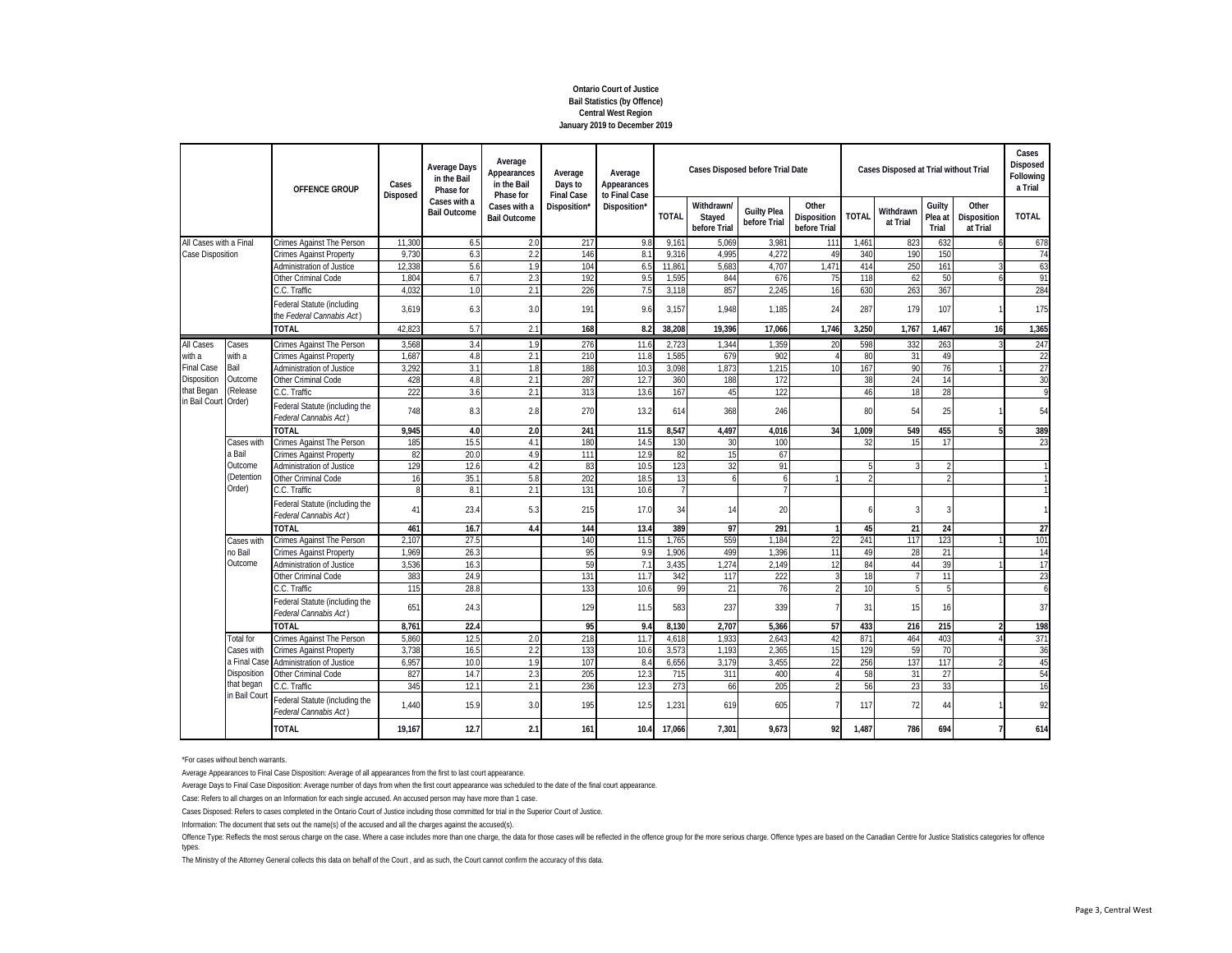# **Ontario Court of Justice Bail Statistics (by Offence) Central West Region January 2019 to December 2019**

|                                                                                               |                                                                                                                                                                                                                                                                                                                                                                                                                                                                                                                                                                                              | OFFENCE GROUP<br>Crimes Against The Person<br><b>Crimes Against Property</b><br><b>Administration of Justice</b><br>Other Criminal Code<br>C.C. Traffic<br>Federal Statute (including<br>the Federal Cannabis Act)<br><b>TOTAL</b><br>Crimes Against The Person<br><b>Crimes Against Property</b><br>Administration of Justice<br>Other Criminal Code<br>C.C. Traffic<br>Federal Statute (including the<br>Federal Cannabis Act)<br><b>TOTAL</b><br>Crimes Against The Person |                                     | Cases<br>Disposed                   | <b>Average Days</b><br>in the Bail<br>Phase for | Average<br>Appearances<br>in the Bail<br>Phase for | Average<br>Days to<br><b>Final Case</b> | Average<br>Appearances<br>to Final Case |                                    |                                             | <b>Cases Disposed before Trial Date</b> |                       |                            | Cases Disposed at Trial without Trial |                |                | Cases<br>Disposed<br>Following<br>a Trial |
|-----------------------------------------------------------------------------------------------|----------------------------------------------------------------------------------------------------------------------------------------------------------------------------------------------------------------------------------------------------------------------------------------------------------------------------------------------------------------------------------------------------------------------------------------------------------------------------------------------------------------------------------------------------------------------------------------------|-------------------------------------------------------------------------------------------------------------------------------------------------------------------------------------------------------------------------------------------------------------------------------------------------------------------------------------------------------------------------------------------------------------------------------------------------------------------------------|-------------------------------------|-------------------------------------|-------------------------------------------------|----------------------------------------------------|-----------------------------------------|-----------------------------------------|------------------------------------|---------------------------------------------|-----------------------------------------|-----------------------|----------------------------|---------------------------------------|----------------|----------------|-------------------------------------------|
|                                                                                               | All Cases with a Final<br>Cases<br>with a<br>Bail<br>Outcome<br>(Release<br>Cases with<br>a Bail<br><b>Crimes Against Property</b><br>Outcome<br>Administration of Justice<br>(Detention<br>Other Criminal Code<br>Order)<br>C.C. Traffic<br>Federal Cannabis Act)<br><b>TOTAL</b><br>Crimes Against The Person<br>Cases with<br>no Bail<br><b>Crimes Against Property</b><br>Outcome<br>Administration of Justice<br>Other Criminal Code<br>C.C. Traffic<br>Federal Cannabis Act)<br>TOTAL<br><b>Total for</b><br>Crimes Against The Person<br>Cases with<br><b>Crimes Against Property</b> |                                                                                                                                                                                                                                                                                                                                                                                                                                                                               | Cases with a<br><b>Bail Outcome</b> | Cases with a<br><b>Bail Outcome</b> | Disposition'                                    | Disposition*                                       | <b>TOTAL</b>                            | Withdrawn/<br>Stayed<br>before Trial    | <b>Guilty Plea</b><br>before Trial | Other<br><b>Disposition</b><br>before Trial | <b>TOTAL</b>                            | Withdrawn<br>at Trial | Guilty<br>Plea at<br>Trial | Other<br>Disposition<br>at Trial      | <b>TOTAL</b>   |                |                                           |
|                                                                                               |                                                                                                                                                                                                                                                                                                                                                                                                                                                                                                                                                                                              |                                                                                                                                                                                                                                                                                                                                                                                                                                                                               | 11.300                              | 6.5                                 | 2.0                                             | 217                                                | 9.8                                     | 9,16                                    | 5.069                              | 3.981                                       | 111                                     | 1,461                 | 823                        | 632                                   | 6              | 678            |                                           |
| Case Disposition                                                                              |                                                                                                                                                                                                                                                                                                                                                                                                                                                                                                                                                                                              |                                                                                                                                                                                                                                                                                                                                                                                                                                                                               | 9.73                                | 6.3                                 | 2.2                                             | 146                                                | 8.1                                     | 9.316                                   | 4.995                              | 4.272                                       | 49                                      | 340                   | 190                        | 150                                   |                | 74             |                                           |
|                                                                                               |                                                                                                                                                                                                                                                                                                                                                                                                                                                                                                                                                                                              |                                                                                                                                                                                                                                                                                                                                                                                                                                                                               | 12.33                               | 5.6                                 | 1.9                                             | 104                                                | 6.5                                     | 11,861                                  | 5,683                              | 4.707                                       | 1,471                                   | 414                   | 250                        | 161                                   |                | 63             |                                           |
|                                                                                               |                                                                                                                                                                                                                                                                                                                                                                                                                                                                                                                                                                                              |                                                                                                                                                                                                                                                                                                                                                                                                                                                                               | 1.804                               | 6.7                                 | 2.3                                             | 192                                                | 9.5                                     | 1,595                                   | 844                                | 676                                         | 75                                      | 118                   | 62                         | 50                                    |                | 91             |                                           |
|                                                                                               |                                                                                                                                                                                                                                                                                                                                                                                                                                                                                                                                                                                              |                                                                                                                                                                                                                                                                                                                                                                                                                                                                               | 4.03                                | 1.0                                 | 2.1                                             | 226                                                | 7.5                                     | 3,118                                   | 857                                | 2,245                                       | 16                                      | 630                   | 263                        | 367                                   |                | 284            |                                           |
|                                                                                               |                                                                                                                                                                                                                                                                                                                                                                                                                                                                                                                                                                                              |                                                                                                                                                                                                                                                                                                                                                                                                                                                                               | 3,619                               | 6.3                                 | 3.0                                             | 191                                                | 9.6                                     | 3,157                                   | 1,948                              | 1,185                                       | 24                                      | 287                   | 179                        | 107                                   |                | 175            |                                           |
| All Cases<br>with a<br><b>Final Case</b><br>Disposition<br>that Began<br>in Bail Court Order) |                                                                                                                                                                                                                                                                                                                                                                                                                                                                                                                                                                                              | 42,823                                                                                                                                                                                                                                                                                                                                                                                                                                                                        | 5.7                                 | 2.1                                 | 168                                             | 8.2                                                | 38,208                                  | 19,396                                  | 17,066                             | 1,746                                       | 3,250                                   | 1,767                 | 1,467                      | 16                                    | 1,365          |                |                                           |
|                                                                                               |                                                                                                                                                                                                                                                                                                                                                                                                                                                                                                                                                                                              | 3,568                                                                                                                                                                                                                                                                                                                                                                                                                                                                         | 3.4                                 | 1.9                                 | 276                                             | 11.6                                               | 2,723                                   | 1,344                                   | 1,359                              | 20                                          | 598                                     | 332                   | 263                        | 3                                     | 247            |                |                                           |
|                                                                                               |                                                                                                                                                                                                                                                                                                                                                                                                                                                                                                                                                                                              |                                                                                                                                                                                                                                                                                                                                                                                                                                                                               | 1.68                                | 4.8                                 | 2.1                                             | 210                                                | 11.8                                    | 1,585                                   | 679                                | 902                                         |                                         | 80                    | 31                         | 49                                    |                | 22             |                                           |
|                                                                                               |                                                                                                                                                                                                                                                                                                                                                                                                                                                                                                                                                                                              |                                                                                                                                                                                                                                                                                                                                                                                                                                                                               | 3,292                               | 3.1                                 | 1.8                                             | 188                                                | 10.3                                    | 3,098                                   | 1,873                              | 1,215                                       | 10                                      | 167                   | 90                         | 76                                    |                | 27             |                                           |
|                                                                                               |                                                                                                                                                                                                                                                                                                                                                                                                                                                                                                                                                                                              |                                                                                                                                                                                                                                                                                                                                                                                                                                                                               | 428                                 | 4.8                                 | 2.1                                             | 287                                                | 12.7                                    | 360                                     | 188                                | 172                                         |                                         | 38                    | 24                         | 14                                    |                | 30             |                                           |
|                                                                                               |                                                                                                                                                                                                                                                                                                                                                                                                                                                                                                                                                                                              |                                                                                                                                                                                                                                                                                                                                                                                                                                                                               | 222                                 | 3.6                                 | 2.1                                             | 313                                                | 13.6                                    | 167                                     | 45                                 | 122                                         |                                         | 46                    | 18                         | 28                                    |                | 9              |                                           |
|                                                                                               |                                                                                                                                                                                                                                                                                                                                                                                                                                                                                                                                                                                              |                                                                                                                                                                                                                                                                                                                                                                                                                                                                               | 748                                 | 8.3                                 | 2.8                                             | 270                                                | 13.2                                    | 614                                     | 368                                | 246                                         |                                         | 80                    | 54                         | 25                                    |                | 54             |                                           |
|                                                                                               |                                                                                                                                                                                                                                                                                                                                                                                                                                                                                                                                                                                              |                                                                                                                                                                                                                                                                                                                                                                                                                                                                               | 9.945                               | 4.0                                 | 2.0                                             | 241                                                | 11.5                                    | 8.547                                   | 4.497                              | 4.016                                       | 34                                      | 1.009                 | 549                        | 455                                   | 5              | 389            |                                           |
|                                                                                               |                                                                                                                                                                                                                                                                                                                                                                                                                                                                                                                                                                                              |                                                                                                                                                                                                                                                                                                                                                                                                                                                                               | 185                                 | 15.5                                | 4.1                                             | 180                                                | 14.                                     | 130                                     | 30                                 | 100                                         |                                         | 32                    | 15                         | 17                                    |                | 23             |                                           |
|                                                                                               |                                                                                                                                                                                                                                                                                                                                                                                                                                                                                                                                                                                              |                                                                                                                                                                                                                                                                                                                                                                                                                                                                               | 82                                  | 20.0                                | 4.9                                             | 111                                                | 12.9                                    | 82                                      | 15                                 | 67                                          |                                         |                       |                            |                                       |                |                |                                           |
|                                                                                               |                                                                                                                                                                                                                                                                                                                                                                                                                                                                                                                                                                                              |                                                                                                                                                                                                                                                                                                                                                                                                                                                                               | 129                                 | 12.6                                | 4.2                                             | 83                                                 | 10.5                                    | 123                                     | 32                                 | 91                                          |                                         |                       |                            |                                       |                |                |                                           |
|                                                                                               |                                                                                                                                                                                                                                                                                                                                                                                                                                                                                                                                                                                              |                                                                                                                                                                                                                                                                                                                                                                                                                                                                               | 16                                  | 35.                                 | 5.8                                             | 202                                                | 18.5                                    | 13                                      | 6                                  | $\overline{a}$                              |                                         |                       |                            |                                       |                |                |                                           |
|                                                                                               |                                                                                                                                                                                                                                                                                                                                                                                                                                                                                                                                                                                              |                                                                                                                                                                                                                                                                                                                                                                                                                                                                               | 8                                   | 8.1                                 | 2.1                                             | 131                                                | 10.6                                    | $\overline{7}$                          |                                    | $\overline{7}$                              |                                         |                       |                            |                                       |                |                |                                           |
|                                                                                               |                                                                                                                                                                                                                                                                                                                                                                                                                                                                                                                                                                                              | Federal Statute (including the                                                                                                                                                                                                                                                                                                                                                                                                                                                | 41                                  | 23.4                                | 5.3                                             | 215                                                | 17.0                                    | 34                                      | 14                                 | 20                                          |                                         |                       |                            | 3                                     |                |                |                                           |
|                                                                                               |                                                                                                                                                                                                                                                                                                                                                                                                                                                                                                                                                                                              |                                                                                                                                                                                                                                                                                                                                                                                                                                                                               | 461                                 | 16.7                                | 4.4                                             | 144                                                | 13.4                                    | 389                                     | 97                                 | 291                                         |                                         | 45                    | 21                         | 24                                    |                | 27             |                                           |
|                                                                                               |                                                                                                                                                                                                                                                                                                                                                                                                                                                                                                                                                                                              |                                                                                                                                                                                                                                                                                                                                                                                                                                                                               | 2,10                                | 27.5                                |                                                 | 140                                                | 11.5                                    | 1,765                                   | 559                                | 1,184                                       | 22                                      | 241                   | 117                        | 123                                   |                | 101            |                                           |
|                                                                                               |                                                                                                                                                                                                                                                                                                                                                                                                                                                                                                                                                                                              |                                                                                                                                                                                                                                                                                                                                                                                                                                                                               | 1.969                               | 26.3                                |                                                 | 95                                                 | 9 <sub>5</sub>                          | 1.906                                   | 499                                | 1.396                                       | 11                                      | 49                    | 28                         | 21                                    |                | 14             |                                           |
|                                                                                               |                                                                                                                                                                                                                                                                                                                                                                                                                                                                                                                                                                                              |                                                                                                                                                                                                                                                                                                                                                                                                                                                                               | 3,536                               | 16.3                                |                                                 | 59                                                 | 7.1                                     | 3,435                                   | ,274                               | 2,149                                       | 12                                      | 84                    | 44                         | 39                                    |                | 17             |                                           |
|                                                                                               |                                                                                                                                                                                                                                                                                                                                                                                                                                                                                                                                                                                              |                                                                                                                                                                                                                                                                                                                                                                                                                                                                               | 383                                 | 24.9                                |                                                 | 131                                                | 11.7                                    | 342                                     | 117                                | 222                                         |                                         | 18                    |                            | $\overline{11}$                       |                | 23             |                                           |
| a Final Cas<br>Disposition<br>that began                                                      |                                                                                                                                                                                                                                                                                                                                                                                                                                                                                                                                                                                              |                                                                                                                                                                                                                                                                                                                                                                                                                                                                               | 115                                 | 28.8                                |                                                 | 133                                                | 10.6                                    | 99                                      | 21                                 | 76                                          |                                         | 10                    |                            | 5                                     |                | $\overline{6}$ |                                           |
|                                                                                               |                                                                                                                                                                                                                                                                                                                                                                                                                                                                                                                                                                                              | Federal Statute (including the                                                                                                                                                                                                                                                                                                                                                                                                                                                | 651                                 | 24.3                                |                                                 | 129                                                | 11.5                                    | 583                                     | 237                                | 339                                         |                                         | 31                    | 15                         | 16                                    |                | 37             |                                           |
|                                                                                               |                                                                                                                                                                                                                                                                                                                                                                                                                                                                                                                                                                                              | 8.761                                                                                                                                                                                                                                                                                                                                                                                                                                                                         | 22.4                                |                                     | 95                                              | 9.4                                                | 8.130                                   | 2.707                                   | 5,366                              | 57                                          | 433                                     | 216                   | 215                        | $\mathfrak{p}$                        | 198            |                |                                           |
|                                                                                               |                                                                                                                                                                                                                                                                                                                                                                                                                                                                                                                                                                                              | 5.860                                                                                                                                                                                                                                                                                                                                                                                                                                                                         | 12.5                                | 2.0                                 | 218                                             | 11.7                                               | 4,618                                   | 1,933                                   | 2.643                              | 42                                          | 871                                     | 464                   | 403                        |                                       | 371            |                |                                           |
|                                                                                               |                                                                                                                                                                                                                                                                                                                                                                                                                                                                                                                                                                                              | 3.738                                                                                                                                                                                                                                                                                                                                                                                                                                                                         | 16.5                                | 2.2                                 | 133                                             | 10.6                                               | 3,573                                   | 1.193                                   | 2,365                              | 15                                          | 129                                     | 59                    | 70                         |                                       | 36             |                |                                           |
|                                                                                               | <b>Administration of Justice</b>                                                                                                                                                                                                                                                                                                                                                                                                                                                                                                                                                             | 6.957                                                                                                                                                                                                                                                                                                                                                                                                                                                                         | 10.0                                | 1.9                                 | 107                                             | 8.4                                                | 6,656                                   | 3.179                                   | 3.455                              | 22                                          | 256                                     | 137                   | 117                        |                                       | 45             |                |                                           |
|                                                                                               | Other Criminal Code                                                                                                                                                                                                                                                                                                                                                                                                                                                                                                                                                                          | 827                                                                                                                                                                                                                                                                                                                                                                                                                                                                           | 14.7                                | 2.3                                 | 205                                             | 12.3                                               | 715                                     | 311                                     | 400                                |                                             | 58                                      | 31                    | 27                         |                                       | 54             |                |                                           |
|                                                                                               | C.C. Traffic                                                                                                                                                                                                                                                                                                                                                                                                                                                                                                                                                                                 | 345                                                                                                                                                                                                                                                                                                                                                                                                                                                                           | 12.7                                | 2.1                                 | 236                                             | 12.3                                               | 273                                     | 66                                      | 205                                |                                             | 56                                      | 23                    | 33                         |                                       | 16             |                |                                           |
|                                                                                               | in Bail Cour                                                                                                                                                                                                                                                                                                                                                                                                                                                                                                                                                                                 | Federal Statute (including the<br>Federal Cannabis Act)                                                                                                                                                                                                                                                                                                                                                                                                                       | 1.440                               | 15.9                                | 3.0                                             | 195                                                | 12.5                                    | 1,231                                   | 619                                | 605                                         | 7                                       | 117                   | 72                         | 44                                    |                | 92             |                                           |
|                                                                                               |                                                                                                                                                                                                                                                                                                                                                                                                                                                                                                                                                                                              | <b>TOTAL</b>                                                                                                                                                                                                                                                                                                                                                                                                                                                                  | 19,167                              | 12.7                                | 2.1                                             | 161                                                | 10.4                                    | 17,066                                  | 7.301                              | 9,673                                       | 92                                      | 1,487                 | 786                        | 694                                   | $\overline{7}$ | 614            |                                           |

\*For cases without bench warrants.

Average Appearances to Final Case Disposition: Average of all appearances from the first to last court appearance.

Average Days to Final Case Disposition: Average number of days from when the first court appearance was scheduled to the date of the final court appearance.

Case: Refers to all charges on an Information for each single accused. An accused person may have more than 1 case.

Cases Disposed: Refers to cases completed in the Ontario Court of Justice including those committed for trial in the Superior Court of Justice.

Information: The document that sets out the name(s) of the accused and all the charges against the accused(s).

Offence Type: Reflects the most serous charge on the case. Where a case includes more than one charge, the data for those cases will be reflected in the offence group for the more exious charge. Offence types are based on types.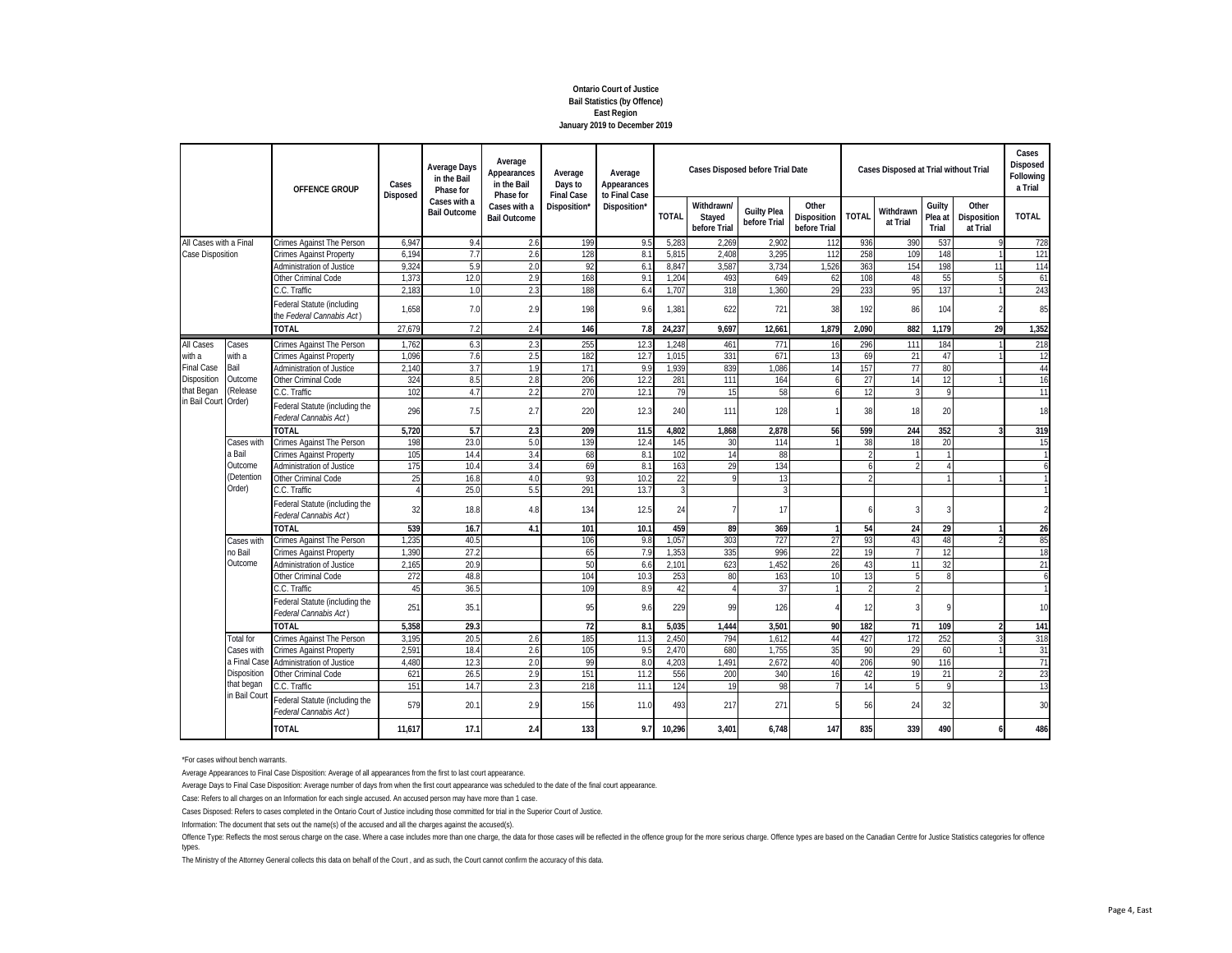#### **Ontario Court of Justice Bail Statistics (by Offence) East Region January 2019 to December 2019**

|                            |                                                                                                                                                               | OFFENCE GROUP<br>Crimes Against The Person<br><b>Crimes Against Property</b><br><b>Administration of Justice</b><br>Other Criminal Code<br>C.C. Traffic<br>Federal Statute (including<br>the Federal Cannabis Act)<br><b>TOTAL</b><br>Crimes Against The Person<br><b>Crimes Against Property</b><br><b>Administration of Justice</b><br>Other Criminal Code<br>C.C. Traffic<br>Federal Statute (including the<br>Federal Cannabis Act)<br><b>TOTAL</b><br>Crimes Against The Person<br><b>Crimes Against Property</b><br>Administration of Justice<br>Other Criminal Code<br>C.C. Traffic<br>Federal Statute (including the<br>Federal Cannabis Act)<br>TOTAL<br>Crimes Against The Person<br><b>Crimes Against Property</b><br>Administration of Justice<br>Other Criminal Code | Cases<br>Disposed                   | <b>Average Days</b><br>in the Bail<br>Phase for | Average<br>Appearances<br>in the Bail<br>Phase for | Average<br>Days to<br><b>Final Case</b> | Average<br>Appearances<br>to Final Case |                                      |                                    | <b>Cases Disposed before Trial Date</b> |              |                       | Cases Disposed at Trial without Trial | Cases<br>Disposed<br>Following<br>a Trial |              |               |
|----------------------------|---------------------------------------------------------------------------------------------------------------------------------------------------------------|-----------------------------------------------------------------------------------------------------------------------------------------------------------------------------------------------------------------------------------------------------------------------------------------------------------------------------------------------------------------------------------------------------------------------------------------------------------------------------------------------------------------------------------------------------------------------------------------------------------------------------------------------------------------------------------------------------------------------------------------------------------------------------------|-------------------------------------|-------------------------------------------------|----------------------------------------------------|-----------------------------------------|-----------------------------------------|--------------------------------------|------------------------------------|-----------------------------------------|--------------|-----------------------|---------------------------------------|-------------------------------------------|--------------|---------------|
|                            | Cases<br>with a<br>Bail<br>Outcome<br>(Release<br>Cases with<br>a Bail<br>Outcome<br>(Detention<br>Order)<br>Cases with<br>no Bail<br>Outcome<br>C.C. Traffic |                                                                                                                                                                                                                                                                                                                                                                                                                                                                                                                                                                                                                                                                                                                                                                                   | Cases with a<br><b>Bail Outcome</b> | Cases with a<br><b>Bail Outcome</b>             | Disposition'                                       | Disposition*                            | <b>TOTAL</b>                            | Withdrawn/<br>Stayed<br>before Trial | <b>Guilty Plea</b><br>before Trial | Other<br>Disposition<br>before Trial    | <b>TOTAL</b> | Withdrawn<br>at Trial | Guilty<br>Plea at<br>Trial            | Other<br>Disposition<br>at Trial          | <b>TOTAL</b> |               |
| All Cases with a Final     |                                                                                                                                                               |                                                                                                                                                                                                                                                                                                                                                                                                                                                                                                                                                                                                                                                                                                                                                                                   | 6,947                               | 9.4                                             | 2.6                                                | 199                                     | 9!                                      | 5,28                                 | 2.269                              | 2,902                                   | 112          | 936                   | 390                                   | 537                                       |              | 728           |
| Case Disposition           |                                                                                                                                                               |                                                                                                                                                                                                                                                                                                                                                                                                                                                                                                                                                                                                                                                                                                                                                                                   | 6.194                               | 7.7                                             | 2.6                                                | 128                                     | 8.1                                     | 5.815                                | 2.408                              | 3,295                                   | 112          | 258                   | 109                                   | 148                                       |              | 121           |
|                            |                                                                                                                                                               |                                                                                                                                                                                                                                                                                                                                                                                                                                                                                                                                                                                                                                                                                                                                                                                   | 9,32                                | 5.9                                             | 2.0                                                | 92                                      | 6.7                                     | 8,847                                | 3,587                              | 3,734                                   | 1,526        | 363                   | 154                                   | 198                                       | 11           | 114           |
|                            |                                                                                                                                                               |                                                                                                                                                                                                                                                                                                                                                                                                                                                                                                                                                                                                                                                                                                                                                                                   | 1,37                                | 12.0                                            | 2.9                                                | 168                                     | 9 <sup>1</sup>                          | 1,204                                | 493                                | 649                                     | 62           | 108                   | 48                                    | 55                                        |              | 61            |
|                            |                                                                                                                                                               |                                                                                                                                                                                                                                                                                                                                                                                                                                                                                                                                                                                                                                                                                                                                                                                   | 2.18                                | 1.0                                             | 2.3                                                | 188                                     | 6.4                                     | 1.707                                | 318                                | 1.360                                   | 29           | 233                   | 95                                    | 137                                       |              | 243           |
|                            |                                                                                                                                                               |                                                                                                                                                                                                                                                                                                                                                                                                                                                                                                                                                                                                                                                                                                                                                                                   | 1.658                               | 7.0                                             | 2.9                                                | 198                                     | 9.6                                     | 1,381                                | 622                                | 721                                     | 38           | 192                   | 86                                    | 104                                       |              | 85            |
|                            |                                                                                                                                                               |                                                                                                                                                                                                                                                                                                                                                                                                                                                                                                                                                                                                                                                                                                                                                                                   | 27.679                              | 7.2                                             | 2.4                                                | 146                                     | 7.8                                     | 24,237                               | 9.697                              | 12.661                                  | 1.879        | 2.090                 | 882                                   | 1.179                                     | 29           | 1,352         |
| All Cases                  |                                                                                                                                                               |                                                                                                                                                                                                                                                                                                                                                                                                                                                                                                                                                                                                                                                                                                                                                                                   | 1,762                               | 6.3                                             | 2.3                                                | 255                                     | 12.3                                    | 1,248                                | 461                                | 771                                     | 16           | 296                   | 111                                   | 184                                       |              | 218           |
| with a                     |                                                                                                                                                               |                                                                                                                                                                                                                                                                                                                                                                                                                                                                                                                                                                                                                                                                                                                                                                                   | 1.096                               | 7.6                                             | 2.5                                                | 182                                     | 12.                                     | 1,015                                | 331                                | 671                                     | 13           | 69                    | 21                                    | 47                                        |              | 12            |
| <b>Final Case</b>          |                                                                                                                                                               |                                                                                                                                                                                                                                                                                                                                                                                                                                                                                                                                                                                                                                                                                                                                                                                   | 2.140                               | 3.7                                             | 1.9                                                | 171                                     | 9.9                                     | 1,939                                | 839                                | 1.086                                   | 14           | 157                   | 77                                    | 80                                        |              | 44            |
| Disposition                |                                                                                                                                                               |                                                                                                                                                                                                                                                                                                                                                                                                                                                                                                                                                                                                                                                                                                                                                                                   | 324                                 | 8.5                                             | 2.8                                                | 206                                     | 12.2                                    | 281                                  | 111                                | 164                                     | h            | 27                    | 14                                    | 12                                        |              | 16            |
| that Began                 |                                                                                                                                                               |                                                                                                                                                                                                                                                                                                                                                                                                                                                                                                                                                                                                                                                                                                                                                                                   | 102                                 | 4.7                                             | 2.2                                                | 270                                     | 12.1                                    | 79                                   | 15                                 | 58                                      | h            | 12                    | 3                                     | $\mathsf{Q}$                              |              | 11            |
| in Bail Court Order)       |                                                                                                                                                               |                                                                                                                                                                                                                                                                                                                                                                                                                                                                                                                                                                                                                                                                                                                                                                                   | 296                                 | 7.5                                             | 2.7                                                | 220                                     | 12.3                                    | 240                                  | 111                                | 128                                     |              | 38                    | 18                                    | 20                                        |              | 18            |
|                            |                                                                                                                                                               |                                                                                                                                                                                                                                                                                                                                                                                                                                                                                                                                                                                                                                                                                                                                                                                   | 5,720                               | 5.7                                             | 2.3                                                | 209                                     | 11.5                                    | 4,802                                | 1,868                              | 2,878                                   | 56           | 599                   | 244                                   | 352                                       | ঽ            | 319           |
|                            |                                                                                                                                                               |                                                                                                                                                                                                                                                                                                                                                                                                                                                                                                                                                                                                                                                                                                                                                                                   | 198                                 | 23.0                                            | 5.0                                                | 139                                     | 12.4                                    | 145                                  | 30                                 | 114                                     |              | 38                    | 18                                    | 20                                        |              | 15            |
|                            |                                                                                                                                                               |                                                                                                                                                                                                                                                                                                                                                                                                                                                                                                                                                                                                                                                                                                                                                                                   | 105                                 | 14.4                                            | 3.4                                                | 68                                      | 8.1                                     | 102                                  | 14                                 | 88                                      |              |                       |                                       | $\mathbf{1}$                              |              |               |
|                            |                                                                                                                                                               |                                                                                                                                                                                                                                                                                                                                                                                                                                                                                                                                                                                                                                                                                                                                                                                   | 175                                 | 10.4                                            | 3.4                                                | 69                                      | 8.1                                     | 163                                  | 29                                 | 134                                     |              |                       |                                       | 4                                         |              | 6             |
|                            |                                                                                                                                                               |                                                                                                                                                                                                                                                                                                                                                                                                                                                                                                                                                                                                                                                                                                                                                                                   | 25                                  | 16.8                                            | 4.0                                                | 93                                      | 10.2                                    | 22                                   | 9                                  | 13                                      |              |                       |                                       |                                           |              |               |
|                            |                                                                                                                                                               |                                                                                                                                                                                                                                                                                                                                                                                                                                                                                                                                                                                                                                                                                                                                                                                   |                                     | 25.0                                            | 5.5                                                | 291                                     | 13.7                                    | 3                                    |                                    | 3                                       |              |                       |                                       |                                           |              |               |
|                            |                                                                                                                                                               |                                                                                                                                                                                                                                                                                                                                                                                                                                                                                                                                                                                                                                                                                                                                                                                   | 32                                  | 18.8                                            | 4.8                                                | 134                                     | 12.5                                    | 24                                   | $\overline{7}$                     | 17                                      |              |                       |                                       | 3                                         |              | $\mathcal{P}$ |
|                            |                                                                                                                                                               |                                                                                                                                                                                                                                                                                                                                                                                                                                                                                                                                                                                                                                                                                                                                                                                   | 539                                 | 16.7                                            | 4.1                                                | 101                                     | 10.1                                    | 459                                  | 89                                 | 369                                     |              | 54                    | 24                                    | 29                                        |              | 26            |
|                            |                                                                                                                                                               |                                                                                                                                                                                                                                                                                                                                                                                                                                                                                                                                                                                                                                                                                                                                                                                   | 1.235                               | 40.5                                            |                                                    | 106                                     | 9.8                                     | 1,057                                | 303                                | 727                                     | 27           | 93                    | 43                                    | 48                                        |              | 85            |
|                            |                                                                                                                                                               |                                                                                                                                                                                                                                                                                                                                                                                                                                                                                                                                                                                                                                                                                                                                                                                   | 1.390                               | 27.2                                            |                                                    | 65                                      | 7 <sub>5</sub>                          | 1,353                                | 335                                | 996                                     | 22           | 19                    |                                       | 12                                        |              | 18            |
|                            |                                                                                                                                                               |                                                                                                                                                                                                                                                                                                                                                                                                                                                                                                                                                                                                                                                                                                                                                                                   | 2,165                               | 20.9                                            |                                                    | 50                                      | 6.6                                     | 2,101                                | 623                                | 1,452                                   | 26           | 43                    | 11                                    | 32                                        |              | 21            |
|                            |                                                                                                                                                               |                                                                                                                                                                                                                                                                                                                                                                                                                                                                                                                                                                                                                                                                                                                                                                                   | 272                                 | 48.8                                            |                                                    | 104                                     | 10.3                                    | 253                                  | 80                                 | 163                                     | 10           | 13                    | 5                                     | 8                                         |              | 6             |
|                            |                                                                                                                                                               |                                                                                                                                                                                                                                                                                                                                                                                                                                                                                                                                                                                                                                                                                                                                                                                   | 45                                  | 36.5                                            |                                                    | 109                                     | 8.9                                     | 42                                   | $\overline{4}$                     | 37                                      |              |                       |                                       |                                           |              |               |
|                            |                                                                                                                                                               | Federal Statute (including the<br>Federal Cannabis Act)                                                                                                                                                                                                                                                                                                                                                                                                                                                                                                                                                                                                                                                                                                                           | 251                                 | 35.                                             |                                                    | 95                                      | 9.6                                     | 229                                  | 99                                 | 126                                     |              | 12                    |                                       | 9                                         |              | 10            |
|                            |                                                                                                                                                               | <b>TOTAL</b>                                                                                                                                                                                                                                                                                                                                                                                                                                                                                                                                                                                                                                                                                                                                                                      | 5,358                               | 29.3                                            |                                                    | 72                                      | 8.1                                     | 5.035                                | 1.444                              | 3,501                                   | 90           | 182                   | 71                                    | 109                                       |              | 141           |
|                            | <b>Total for</b>                                                                                                                                              | Crimes Against The Person                                                                                                                                                                                                                                                                                                                                                                                                                                                                                                                                                                                                                                                                                                                                                         | 3,195                               | 20.5                                            | 2.6                                                | 185                                     | 11.3                                    | 2,450                                | 794                                | 1.612                                   | 44           | 427                   | 172                                   | 252                                       |              | 318           |
|                            | Cases with                                                                                                                                                    | <b>Crimes Against Property</b>                                                                                                                                                                                                                                                                                                                                                                                                                                                                                                                                                                                                                                                                                                                                                    | 2,59                                | 18.4                                            | 2.6                                                | 105                                     | 9.5                                     | 2,470                                | 680                                | 1,755                                   | 35           | 90                    | 29                                    | 60                                        |              | 31            |
|                            | a Final Cas                                                                                                                                                   | <b>Administration of Justice</b>                                                                                                                                                                                                                                                                                                                                                                                                                                                                                                                                                                                                                                                                                                                                                  | 4.480                               | 12.3                                            | 2.0                                                | 99                                      | 8 <sub>0</sub>                          | 4,203                                | .491                               | 2.672                                   | 40           | 206                   | 90                                    | 116                                       |              | 71            |
|                            | Disposition                                                                                                                                                   | Other Criminal Code                                                                                                                                                                                                                                                                                                                                                                                                                                                                                                                                                                                                                                                                                                                                                               | 62                                  | 26.5                                            | 2.9                                                | 151                                     | 11.                                     | 556                                  | 200                                | 340                                     | 16           | 42                    | 19                                    | 21                                        |              | 23            |
|                            |                                                                                                                                                               | C.C. Traffic                                                                                                                                                                                                                                                                                                                                                                                                                                                                                                                                                                                                                                                                                                                                                                      | 151                                 | 14.                                             | 2.3                                                | 218                                     | 11.7                                    | 124                                  | 19                                 | 98                                      |              | 14                    |                                       | $\mathsf{Q}$                              |              | 13            |
| that began<br>in Bail Cour | Federal Statute (including the<br>Federal Cannabis Act)                                                                                                       | 579                                                                                                                                                                                                                                                                                                                                                                                                                                                                                                                                                                                                                                                                                                                                                                               | 20.1                                | 2.9                                             | 156                                                | 11.0                                    | 493                                     | 217                                  | 271                                | 5                                       | 56           | 24                    | 32                                    |                                           | 30           |               |
|                            |                                                                                                                                                               | <b>TOTAL</b>                                                                                                                                                                                                                                                                                                                                                                                                                                                                                                                                                                                                                                                                                                                                                                      | 11,617                              | 17.1                                            | 2.4                                                | 133                                     | 9.7                                     | 10,296                               | 3,401                              | 6,748                                   | 147          | 835                   | 339                                   | 490                                       | 6            | 486           |

\*For cases without bench warrants.

Average Appearances to Final Case Disposition: Average of all appearances from the first to last court appearance.

Average Days to Final Case Disposition: Average number of days from when the first court appearance was scheduled to the date of the final court appearance.

Case: Refers to all charges on an Information for each single accused. An accused person may have more than 1 case.

Cases Disposed: Refers to cases completed in the Ontario Court of Justice including those committed for trial in the Superior Court of Justice.

Information: The document that sets out the name(s) of the accused and all the charges against the accused(s).

Offence Type: Reflects the most serous charge on the case. Where a case includes more than one charge, the data for those cases will be reflected in the offence group for the more exious charge. Offence types are based on types.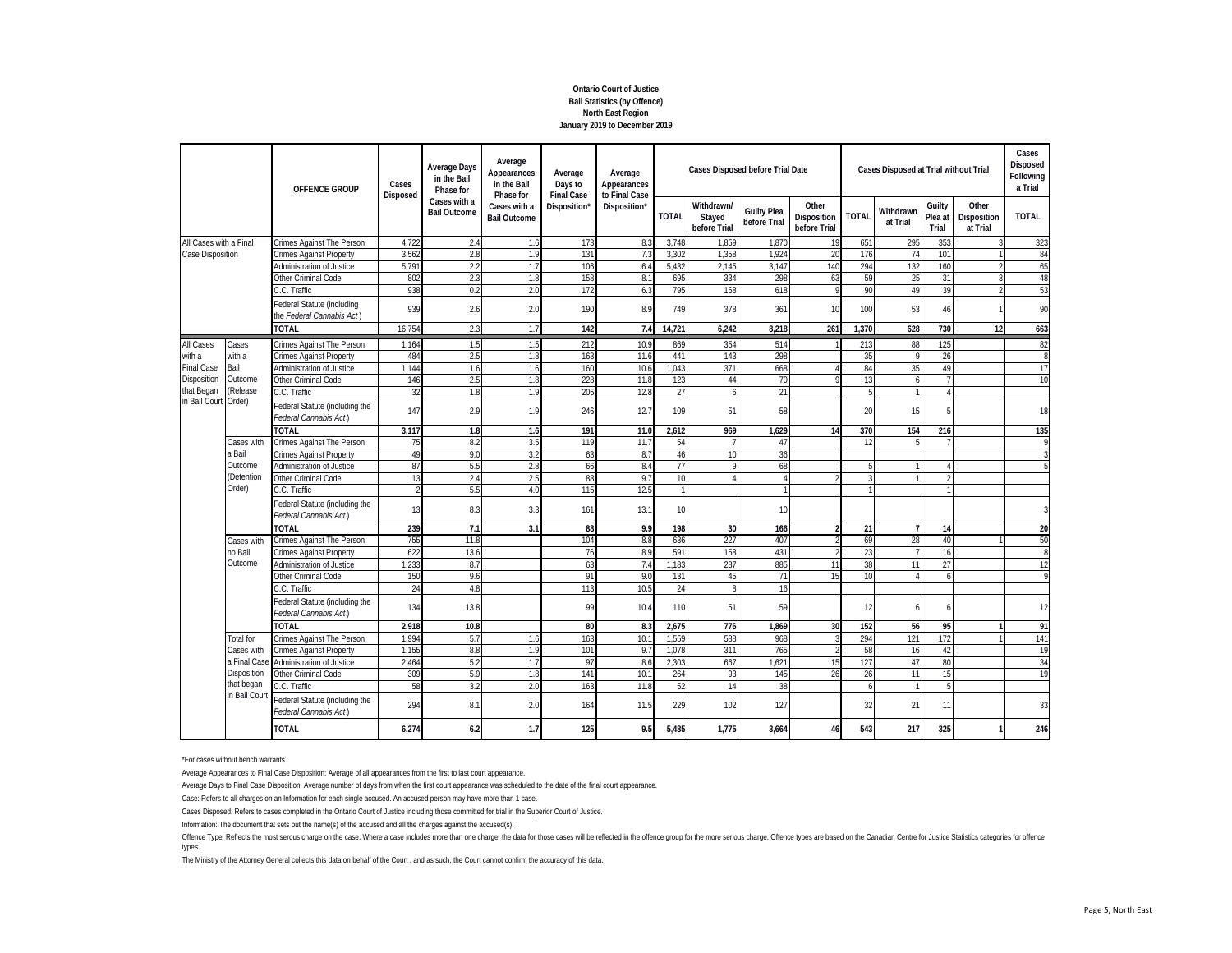# **Ontario Court of Justice Bail Statistics (by Offence) North East Region January 2019 to December 2019**

|                   |                                                                                                                                                                                                 | OFFENCE GROUP<br>Crimes Against The Person<br><b>Crimes Against Property</b><br><b>Administration of Justice</b><br>Other Criminal Code<br>C.C. Traffic<br>Federal Statute (including<br>the Federal Cannabis Act)<br><b>TOTAL</b><br>Crimes Against The Person<br><b>Crimes Against Property</b><br>Administration of Justice<br>Other Criminal Code<br>C.C. Traffic<br>Federal Statute (including the<br>Federal Cannabis Act)<br><b>TOTAL</b><br>Crimes Against The Person<br><b>Crimes Against Property</b><br>Administration of Justice<br>Other Criminal Code<br>C.C. Traffic<br>Federal Statute (including the<br>Federal Cannabis Act)<br>TOTAL<br>Crimes Against The Person<br><b>Crimes Against Property</b><br>Administration of Justice<br>Other Criminal Code<br>C.C. Traffic | Cases<br>Disposed | <b>Average Days</b><br>in the Bail<br>Phase for | Average<br>Appearances<br>in the Bail<br>Phase for | Average<br>Days to<br><b>Final Case</b> | Average<br>Appearances<br>to Final Case |              |                                      | <b>Cases Disposed before Trial Date</b> |                                      |              | Cases Disposed at Trial without Trial |                            |                                  | Cases<br>Disposed<br>Following<br>a Trial |
|-------------------|-------------------------------------------------------------------------------------------------------------------------------------------------------------------------------------------------|--------------------------------------------------------------------------------------------------------------------------------------------------------------------------------------------------------------------------------------------------------------------------------------------------------------------------------------------------------------------------------------------------------------------------------------------------------------------------------------------------------------------------------------------------------------------------------------------------------------------------------------------------------------------------------------------------------------------------------------------------------------------------------------------|-------------------|-------------------------------------------------|----------------------------------------------------|-----------------------------------------|-----------------------------------------|--------------|--------------------------------------|-----------------------------------------|--------------------------------------|--------------|---------------------------------------|----------------------------|----------------------------------|-------------------------------------------|
|                   | All Cases with a Final<br>Cases<br>with a<br>Bail<br>Outcome<br>(Release<br>in Bail Court Order)<br>Cases with<br>a Bail<br>Outcome<br>(Detention<br>Order)<br>Cases with<br>no Bail<br>Outcome |                                                                                                                                                                                                                                                                                                                                                                                                                                                                                                                                                                                                                                                                                                                                                                                            |                   | Cases with a<br><b>Bail Outcome</b>             | Cases with a<br><b>Bail Outcome</b>                | Disposition'                            | Disposition*                            | <b>TOTAL</b> | Withdrawn/<br>Stayed<br>before Trial | <b>Guilty Plea</b><br>before Trial      | Other<br>Disposition<br>before Trial | <b>TOTAL</b> | Withdrawn<br>at Trial                 | Guilty<br>Plea at<br>Trial | Other<br>Disposition<br>at Trial | <b>TOTAL</b>                              |
|                   |                                                                                                                                                                                                 |                                                                                                                                                                                                                                                                                                                                                                                                                                                                                                                                                                                                                                                                                                                                                                                            | 4.722             | 2.4                                             | 1.6                                                | 173                                     | 8.3                                     | 3,748        | 1.859                                | 1,870                                   | 19                                   | 651          | 295                                   | 353                        |                                  | 323                                       |
| Case Disposition  |                                                                                                                                                                                                 |                                                                                                                                                                                                                                                                                                                                                                                                                                                                                                                                                                                                                                                                                                                                                                                            | 3.56              | 2.8                                             | 1.9                                                | 131                                     | 7.3                                     | 3.302        | 1.358                                | 1.924                                   | 20                                   | 176          | 74                                    | 101                        |                                  | 84                                        |
|                   |                                                                                                                                                                                                 |                                                                                                                                                                                                                                                                                                                                                                                                                                                                                                                                                                                                                                                                                                                                                                                            | 5,79              | 2.2                                             | 1.7                                                | 106                                     | 6.4                                     | 5,432        | 2,145                                | 3.147                                   | 140                                  | 294          | 132                                   | 160                        |                                  | 65                                        |
|                   |                                                                                                                                                                                                 |                                                                                                                                                                                                                                                                                                                                                                                                                                                                                                                                                                                                                                                                                                                                                                                            | 802               | 2.3                                             | 1.8                                                | 158                                     | 8.                                      | 695          | 334                                  | 298                                     | 63                                   | 59           | 25                                    | 31                         |                                  | 48                                        |
|                   |                                                                                                                                                                                                 |                                                                                                                                                                                                                                                                                                                                                                                                                                                                                                                                                                                                                                                                                                                                                                                            | 938               | 0.2                                             | 2.0                                                | 172                                     | 6.3                                     | 795          | 168                                  | 618                                     | Q                                    | 90           | 49                                    | 39                         |                                  | 53                                        |
|                   |                                                                                                                                                                                                 |                                                                                                                                                                                                                                                                                                                                                                                                                                                                                                                                                                                                                                                                                                                                                                                            | 939               | 2.6                                             | 2.0                                                | 190                                     | 8.9                                     | 749          | 378                                  | 361                                     | 10                                   | 100          | 53                                    | 46                         |                                  | 90                                        |
|                   |                                                                                                                                                                                                 |                                                                                                                                                                                                                                                                                                                                                                                                                                                                                                                                                                                                                                                                                                                                                                                            | 16.754            | 2.3                                             | 1.7                                                | 142                                     | 7.4                                     | 14,721       | 6,242                                | 8,218                                   | 261                                  | 1.370        | 628                                   | 730                        | 12                               | 663                                       |
| All Cases         |                                                                                                                                                                                                 |                                                                                                                                                                                                                                                                                                                                                                                                                                                                                                                                                                                                                                                                                                                                                                                            | 1,164             | 1.5                                             | 1.5                                                | 212                                     | 10.9                                    | 869          | 354                                  | 514                                     |                                      | 213          | 88                                    | 125                        |                                  | 82                                        |
| with a            |                                                                                                                                                                                                 |                                                                                                                                                                                                                                                                                                                                                                                                                                                                                                                                                                                                                                                                                                                                                                                            | 484               | 2.5                                             | 1.8                                                | 163                                     | 11.6                                    | 441          | 143                                  | 298                                     |                                      | 35           | $\mathsf Q$                           | 26                         |                                  | 8                                         |
| <b>Final Case</b> |                                                                                                                                                                                                 |                                                                                                                                                                                                                                                                                                                                                                                                                                                                                                                                                                                                                                                                                                                                                                                            | 1.144             | 1.6                                             | 1.6                                                | 160                                     | 10.6                                    | 1,043        | 371                                  | 668                                     |                                      | 84           | 35                                    | 49                         |                                  | 17                                        |
| Disposition       |                                                                                                                                                                                                 |                                                                                                                                                                                                                                                                                                                                                                                                                                                                                                                                                                                                                                                                                                                                                                                            | 146               | 2.5                                             | 1.8                                                | 228                                     | 11.8                                    | 123          | 44                                   | 70                                      |                                      | 13           | 6                                     |                            |                                  | 10                                        |
| that Began        |                                                                                                                                                                                                 |                                                                                                                                                                                                                                                                                                                                                                                                                                                                                                                                                                                                                                                                                                                                                                                            | 32                | 1.8                                             | 1.9                                                | 205                                     | 12.8                                    | 27           | 6                                    | 21                                      |                                      |              |                                       | $\boldsymbol{\Lambda}$     |                                  |                                           |
|                   |                                                                                                                                                                                                 |                                                                                                                                                                                                                                                                                                                                                                                                                                                                                                                                                                                                                                                                                                                                                                                            | 147               | 2.9                                             | 1.9                                                | 246                                     | 12.7                                    | 109          | 51                                   | 58                                      |                                      | 20           | 15                                    | 5                          |                                  | 18                                        |
|                   |                                                                                                                                                                                                 |                                                                                                                                                                                                                                                                                                                                                                                                                                                                                                                                                                                                                                                                                                                                                                                            | 3,117             | 1.8                                             | 1.6                                                | 191                                     | 11.0                                    | 2,612        | 969                                  | 1,629                                   | 14                                   | 370          | 154                                   | 216                        |                                  | 135                                       |
|                   |                                                                                                                                                                                                 |                                                                                                                                                                                                                                                                                                                                                                                                                                                                                                                                                                                                                                                                                                                                                                                            | 75                | 8.2                                             | 3.5                                                | 119                                     | 11.7                                    | 54           | 7                                    | 47                                      |                                      | 12           |                                       | 7                          |                                  | 9                                         |
|                   |                                                                                                                                                                                                 |                                                                                                                                                                                                                                                                                                                                                                                                                                                                                                                                                                                                                                                                                                                                                                                            | 49                | 9.0                                             | 3.2                                                | 63                                      | 8.7                                     | 46           | 10                                   | 36                                      |                                      |              |                                       |                            |                                  |                                           |
|                   |                                                                                                                                                                                                 |                                                                                                                                                                                                                                                                                                                                                                                                                                                                                                                                                                                                                                                                                                                                                                                            | 87                | 5.5                                             | 2.8                                                | 66                                      | 8.4                                     | 77           | $\mathsf{Q}$                         | 68                                      |                                      |              |                                       |                            |                                  | 5                                         |
|                   |                                                                                                                                                                                                 |                                                                                                                                                                                                                                                                                                                                                                                                                                                                                                                                                                                                                                                                                                                                                                                            | 13                | 2.4                                             | 2.5                                                | 88                                      | 9.7                                     | 10           | 4                                    | 4                                       |                                      |              |                                       |                            |                                  |                                           |
|                   |                                                                                                                                                                                                 |                                                                                                                                                                                                                                                                                                                                                                                                                                                                                                                                                                                                                                                                                                                                                                                            |                   | 5.5                                             | 4.0                                                | 115                                     | 12.5                                    |              |                                      |                                         |                                      |              |                                       | -1                         |                                  |                                           |
|                   |                                                                                                                                                                                                 |                                                                                                                                                                                                                                                                                                                                                                                                                                                                                                                                                                                                                                                                                                                                                                                            | 13                | 8.3                                             | 3.3                                                | 161                                     | 13.1                                    | 10           |                                      | 10                                      |                                      |              |                                       |                            |                                  |                                           |
|                   |                                                                                                                                                                                                 |                                                                                                                                                                                                                                                                                                                                                                                                                                                                                                                                                                                                                                                                                                                                                                                            | 239               | 7.1                                             | 3.1                                                | 88                                      | 9.9                                     | 198          | 30                                   | 166                                     | $\mathfrak{p}$                       | 21           | $\overline{7}$                        | 14                         |                                  | 20                                        |
|                   |                                                                                                                                                                                                 |                                                                                                                                                                                                                                                                                                                                                                                                                                                                                                                                                                                                                                                                                                                                                                                            | 755               | 11.8                                            |                                                    | 104                                     | 8.8                                     | 636          | 227                                  | 407                                     |                                      | 69           | 28                                    | 40                         |                                  | 50                                        |
|                   |                                                                                                                                                                                                 |                                                                                                                                                                                                                                                                                                                                                                                                                                                                                                                                                                                                                                                                                                                                                                                            | 622               | 13.6                                            |                                                    | 76                                      | 8.9                                     | 591          | 158                                  | 431                                     |                                      | 23           |                                       | 16                         |                                  | 8                                         |
|                   |                                                                                                                                                                                                 |                                                                                                                                                                                                                                                                                                                                                                                                                                                                                                                                                                                                                                                                                                                                                                                            | 1.233             | 8.7                                             |                                                    | 63                                      | 7.4                                     | 1,183        | 287                                  | 885                                     | 11                                   | 38           | 11                                    | 27                         |                                  | 12                                        |
|                   |                                                                                                                                                                                                 |                                                                                                                                                                                                                                                                                                                                                                                                                                                                                                                                                                                                                                                                                                                                                                                            | 150               | 9.6                                             |                                                    | 91                                      | 9.0                                     | 131          | 45                                   | 71                                      | 15                                   | 10           |                                       | 6                          |                                  | 9                                         |
|                   |                                                                                                                                                                                                 |                                                                                                                                                                                                                                                                                                                                                                                                                                                                                                                                                                                                                                                                                                                                                                                            | 24                | 4.8                                             |                                                    | 113                                     | 10.5                                    | 24           | 8                                    | 16                                      |                                      |              |                                       |                            |                                  |                                           |
|                   |                                                                                                                                                                                                 | Federal Statute (including the<br>Federal Cannabis Act)                                                                                                                                                                                                                                                                                                                                                                                                                                                                                                                                                                                                                                                                                                                                    | 134               | 13.8                                            |                                                    | 99                                      | 10.4                                    | 110          | 51                                   | 59                                      |                                      | 12           |                                       | 6                          |                                  | 12                                        |
|                   |                                                                                                                                                                                                 | <b>TOTAL</b>                                                                                                                                                                                                                                                                                                                                                                                                                                                                                                                                                                                                                                                                                                                                                                               | 2,918             | 10.8                                            |                                                    | 80                                      | 8.3                                     | 2,675        | 776                                  | 1.869                                   | 30                                   | 152          | 56                                    | 95                         |                                  | 91                                        |
|                   | <b>Total for</b>                                                                                                                                                                                | Crimes Against The Person                                                                                                                                                                                                                                                                                                                                                                                                                                                                                                                                                                                                                                                                                                                                                                  | 1.994             | 5.7                                             | 1.6                                                | 163                                     | 10.7                                    | 1,559        | 588                                  | 968                                     |                                      | 294          | 121                                   | 172                        |                                  | 141                                       |
|                   | Cases with                                                                                                                                                                                      | <b>Crimes Against Property</b>                                                                                                                                                                                                                                                                                                                                                                                                                                                                                                                                                                                                                                                                                                                                                             | 1.155             | 8.8                                             | 1.9                                                | 101                                     | 9.7                                     | 1.078        | 311                                  | 765                                     |                                      | 58           | 16                                    | 42                         |                                  | 19                                        |
|                   | a Final Cas                                                                                                                                                                                     | <b>Administration of Justice</b>                                                                                                                                                                                                                                                                                                                                                                                                                                                                                                                                                                                                                                                                                                                                                           | 2.464             | 5.2                                             | 1.7                                                | 97                                      | 8.6                                     | 2,303        | 667                                  | 1.621                                   | 15                                   | 127          | 47                                    | 80                         |                                  | 34                                        |
|                   | Disposition                                                                                                                                                                                     | Other Criminal Code                                                                                                                                                                                                                                                                                                                                                                                                                                                                                                                                                                                                                                                                                                                                                                        | 309               | 5.9                                             | 1.8                                                | 141                                     | 10.                                     | 264          | 93                                   | 145                                     | 26                                   | 26           | 11                                    | 15                         |                                  | 19                                        |
|                   | that began                                                                                                                                                                                      | C.C. Traffic                                                                                                                                                                                                                                                                                                                                                                                                                                                                                                                                                                                                                                                                                                                                                                               | 58                | 3.2                                             | 2.0                                                | 163                                     | 11.8                                    | 52           | 14                                   | 38                                      |                                      |              |                                       | 5                          |                                  |                                           |
|                   | in Bail Cour                                                                                                                                                                                    | Federal Statute (including the<br>Federal Cannabis Act)                                                                                                                                                                                                                                                                                                                                                                                                                                                                                                                                                                                                                                                                                                                                    | 294               | 8.1                                             | 2.0                                                | 164                                     | 11.5                                    | 229          | 102                                  | 127                                     |                                      | 32           | 21                                    | 11                         |                                  | 33                                        |
|                   |                                                                                                                                                                                                 | <b>TOTAL</b>                                                                                                                                                                                                                                                                                                                                                                                                                                                                                                                                                                                                                                                                                                                                                                               | 6,274             | 6.2                                             | 1.7                                                | 125                                     | 9.5                                     | 5,485        | 1,775                                | 3,664                                   | 46                                   | 543          | 217                                   | 325                        |                                  | 246                                       |

\*For cases without bench warrants.

Average Appearances to Final Case Disposition: Average of all appearances from the first to last court appearance.

Average Days to Final Case Disposition: Average number of days from when the first court appearance was scheduled to the date of the final court appearance.

Case: Refers to all charges on an Information for each single accused. An accused person may have more than 1 case.

Cases Disposed: Refers to cases completed in the Ontario Court of Justice including those committed for trial in the Superior Court of Justice.

Information: The document that sets out the name(s) of the accused and all the charges against the accused(s).

Offence Type: Reflects the most serous charge on the case. Where a case includes more than one charge, the data for those cases will be reflected in the offence group for the more exious charge. Offence types are based on types.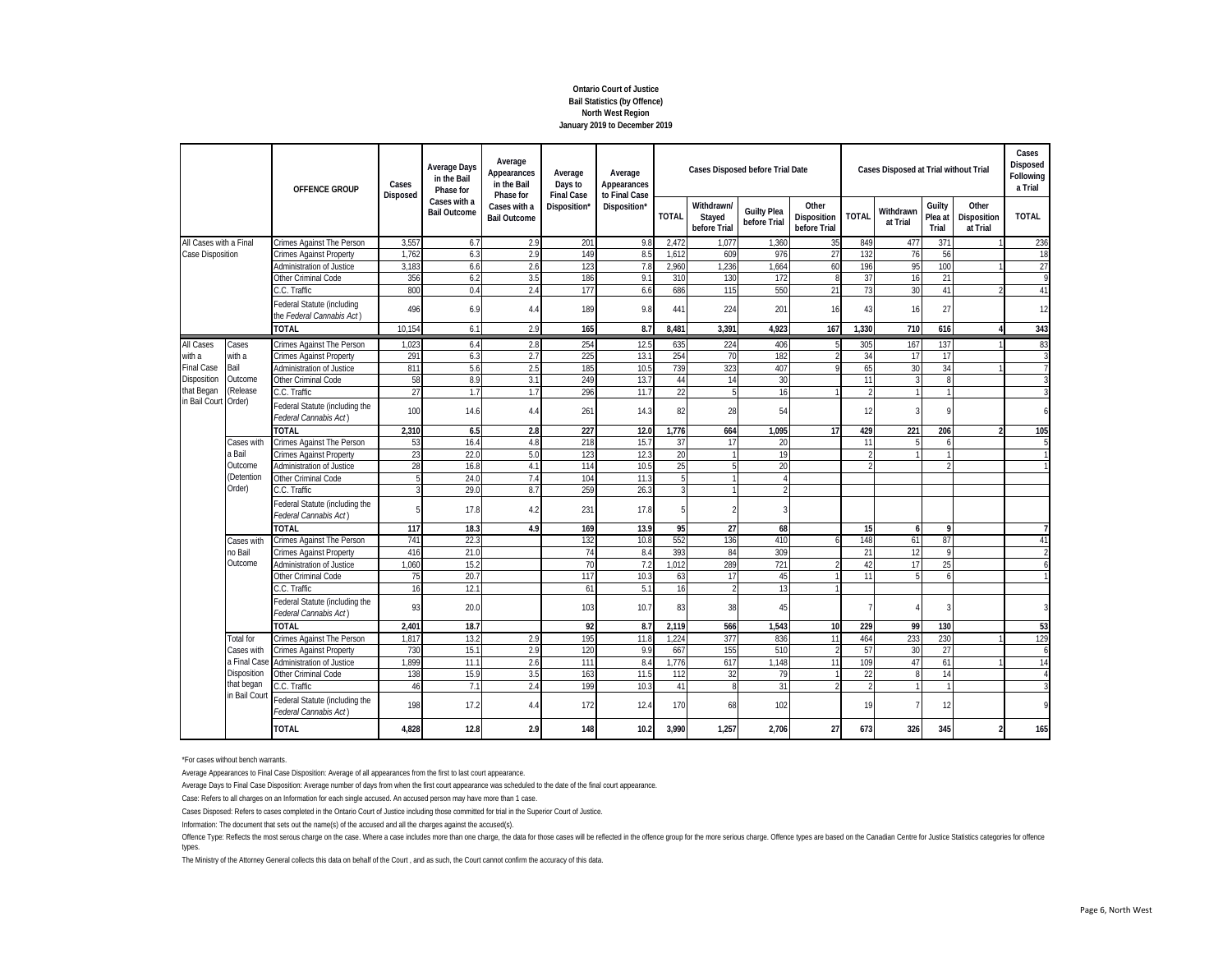# **Ontario Court of Justice Bail Statistics (by Offence) North West Region January 2019 to December 2019**

|                                                                                               |                                                                                                                                                                                           | OFFENCE GROUP<br>Crimes Against The Person<br><b>Crimes Against Property</b><br><b>Administration of Justice</b><br>Other Criminal Code | Cases<br>Disposed | <b>Average Days</b><br>in the Bail<br>Phase for | Average<br>Appearances<br>in the Bail<br>Phase for | Average<br>Days to<br><b>Final Case</b> | Average<br>Appearances<br>to Final Case |              |                                      | <b>Cases Disposed before Trial Date</b> |                                      |                 | Cases Disposed at Trial without Trial |                            |                                  | Cases<br>Disposed<br>Following<br>a Trial |
|-----------------------------------------------------------------------------------------------|-------------------------------------------------------------------------------------------------------------------------------------------------------------------------------------------|-----------------------------------------------------------------------------------------------------------------------------------------|-------------------|-------------------------------------------------|----------------------------------------------------|-----------------------------------------|-----------------------------------------|--------------|--------------------------------------|-----------------------------------------|--------------------------------------|-----------------|---------------------------------------|----------------------------|----------------------------------|-------------------------------------------|
|                                                                                               | All Cases with a Final<br>C.C. Traffic<br><b>TOTAL</b><br>Cases<br>with a<br>Bail<br>Outcome<br>(Release<br>C.C. Traffic<br><b>TOTAL</b><br>Cases with<br>a Bail<br>Outcome<br>(Detention |                                                                                                                                         |                   | Cases with a<br><b>Bail Outcome</b>             | Cases with a<br><b>Bail Outcome</b>                | Disposition'                            | Disposition*                            | <b>TOTAL</b> | Withdrawn/<br>Stayed<br>before Trial | <b>Guilty Plea</b><br>before Trial      | Other<br>Disposition<br>before Trial | <b>TOTAL</b>    | Withdrawn<br>at Trial                 | Guilty<br>Plea at<br>Trial | Other<br>Disposition<br>at Trial | <b>TOTAL</b>                              |
|                                                                                               |                                                                                                                                                                                           |                                                                                                                                         | 3,557             | 6.7                                             | 2.9                                                | 201                                     | 9.8                                     | 2,472        | 1.077                                | 1,360                                   | 35                                   | 849             | 477                                   | 371                        |                                  | 236                                       |
| Case Disposition                                                                              |                                                                                                                                                                                           |                                                                                                                                         | 1,762             | 6.3                                             | 2.9                                                | 149                                     | 8.5                                     | 1,612        | 609                                  | 976                                     | 27                                   | 132             | 76                                    | 56                         |                                  | 18                                        |
|                                                                                               |                                                                                                                                                                                           |                                                                                                                                         | 3,18              | 6.6                                             | 2.6                                                | 123                                     | 7.8                                     | 2,960        | ,236                                 | 1.664                                   | 60                                   | 196             | 95                                    | 100                        |                                  | 27                                        |
|                                                                                               |                                                                                                                                                                                           |                                                                                                                                         | 356               | 6.2                                             | 3.5                                                | 186                                     | 9.                                      | 310          | 130                                  | 172                                     | $\mathsf{R}$                         | 37              | 16                                    | 21                         |                                  | 9                                         |
|                                                                                               |                                                                                                                                                                                           |                                                                                                                                         | 800               | 0.4                                             | 2.4                                                | 177                                     | 6.6                                     | 686          | 115                                  | 550                                     | 21                                   | 73              | 30                                    | 41                         |                                  | 41                                        |
|                                                                                               |                                                                                                                                                                                           | Federal Statute (including<br>the Federal Cannabis Act)                                                                                 | 496               | 6.9                                             | 4.4                                                | 189                                     | 9.8                                     | 441          | 224                                  | 201                                     | 16                                   | 43              | 16                                    | 27                         |                                  | 12                                        |
| All Cases<br>with a<br><b>Final Case</b><br>Disposition<br>that Began<br>in Bail Court Order) |                                                                                                                                                                                           | 10.154                                                                                                                                  | 6.1               | 2.9                                             | 165                                                | 8.7                                     | 8,481                                   | 3,391        | 4,923                                | 167                                     | 1,330                                | 710             | 616                                   | 4                          | 343                              |                                           |
|                                                                                               |                                                                                                                                                                                           | Crimes Against The Person                                                                                                               | 1,02              | 6.4                                             | 2.8                                                | 254                                     | 12.5                                    | 635          | 224                                  | 406                                     | 5                                    | 305             | 167                                   | 137                        |                                  | 83                                        |
|                                                                                               |                                                                                                                                                                                           | <b>Crimes Against Property</b>                                                                                                          | 291               | 6.3                                             | 2.7                                                | 225                                     | 13.                                     | 254          | 70                                   | 182                                     |                                      | 34              | 17                                    | 17                         |                                  | 3                                         |
|                                                                                               |                                                                                                                                                                                           | Administration of Justice                                                                                                               | 811               | 5.6                                             | 2.5                                                | 185                                     | 10.5                                    | 739          | 323                                  | 407                                     |                                      | 65              | 30                                    | 34                         |                                  |                                           |
|                                                                                               |                                                                                                                                                                                           | Other Criminal Code                                                                                                                     | 58                | 8.9                                             | 3.1                                                | 249                                     | 13.7                                    | 44           | 14                                   | 30                                      |                                      | 11              |                                       | 8                          |                                  |                                           |
|                                                                                               |                                                                                                                                                                                           |                                                                                                                                         | 27                | 1.7                                             | 1.7                                                | 296                                     | 11.7                                    | 22           | 5                                    | 16                                      |                                      |                 |                                       | $\mathbf{1}$               |                                  |                                           |
|                                                                                               |                                                                                                                                                                                           | Federal Statute (including the<br>Federal Cannabis Act)                                                                                 | 100               | 14.6                                            | 4.4                                                | 261                                     | 14.3                                    | 82           | 28                                   | 54                                      |                                      | 12              |                                       | 9                          |                                  | $\overline{6}$                            |
|                                                                                               |                                                                                                                                                                                           |                                                                                                                                         | 2,310             | 6.5                                             | 2.8                                                | 227                                     | 12.0                                    | 1.776        | 664                                  | 1,095                                   | 17                                   | 429             | 221                                   | 206                        | 2                                | 105                                       |
|                                                                                               |                                                                                                                                                                                           | Crimes Against The Person                                                                                                               | 53                | 16.4                                            | 4.8                                                | 218                                     | 15.7                                    | 37           | 17                                   | 20                                      |                                      | 11              | 5                                     | 6                          |                                  | 5                                         |
|                                                                                               |                                                                                                                                                                                           | <b>Crimes Against Property</b>                                                                                                          | 23                | 22.0                                            | 5.0                                                | 123                                     | 12.3                                    | 20           | $\mathbf{1}$                         | 19                                      |                                      |                 |                                       | $\mathbf{1}$               |                                  |                                           |
|                                                                                               |                                                                                                                                                                                           | Administration of Justice                                                                                                               | 28                | 16.8                                            | 4.1                                                | 114                                     | 10.5                                    | 25           | 5                                    | 20                                      |                                      |                 |                                       | $\mathfrak{D}$             |                                  |                                           |
|                                                                                               |                                                                                                                                                                                           | Other Criminal Code                                                                                                                     |                   | 24.0                                            | 7.4                                                | 104                                     | 11.                                     |              |                                      | $\overline{4}$                          |                                      |                 |                                       |                            |                                  |                                           |
|                                                                                               | Order)                                                                                                                                                                                    | C.C. Traffic                                                                                                                            |                   | 29.0                                            | 8.7                                                | 259                                     | 26.3                                    |              | 1                                    | $\overline{\phantom{a}}$                |                                      |                 |                                       |                            |                                  |                                           |
|                                                                                               |                                                                                                                                                                                           | Federal Statute (including the<br>Federal Cannabis Act)                                                                                 |                   | 17.8                                            | 4.2                                                | 231                                     | 17.8                                    |              | $\mathfrak{D}$                       |                                         |                                      |                 |                                       |                            |                                  |                                           |
|                                                                                               |                                                                                                                                                                                           | <b>TOTAL</b>                                                                                                                            | 117               | 18.3                                            | 4.9                                                | 169                                     | 13.9                                    | 95           | 27                                   | 68                                      |                                      | 15              | 6                                     | 9                          |                                  |                                           |
|                                                                                               | Cases with                                                                                                                                                                                | Crimes Against The Person                                                                                                               | 741               | 22.3                                            |                                                    | 132                                     | 10.8                                    | 552          | 136                                  | 410                                     |                                      | 148             | 61                                    | 87                         |                                  | 41                                        |
|                                                                                               | no Bail                                                                                                                                                                                   | <b>Crimes Against Property</b>                                                                                                          | 416               | 21.0                                            |                                                    | 74                                      | 8.4                                     | 393          | 84                                   | 309                                     |                                      | 21              | 12                                    | $\mathsf{Q}$               |                                  |                                           |
|                                                                                               | Outcome                                                                                                                                                                                   | Administration of Justice                                                                                                               | 1.060             | 15.2                                            |                                                    | 70                                      | 7.2                                     | 1.012        | 289                                  | 721                                     |                                      | 42              | 17                                    | 25                         |                                  |                                           |
|                                                                                               |                                                                                                                                                                                           | Other Criminal Code                                                                                                                     | 75                | 20.7                                            |                                                    | 117                                     | 10.3                                    | 63           | 17                                   | 45                                      |                                      | $1^{\circ}$     |                                       | 6                          |                                  |                                           |
|                                                                                               |                                                                                                                                                                                           | C.C. Traffic                                                                                                                            | 16                | 12.7                                            |                                                    | 61                                      | 5.1                                     | 16           | $\mathfrak{D}$                       | 13                                      |                                      |                 |                                       |                            |                                  |                                           |
|                                                                                               |                                                                                                                                                                                           | Federal Statute (including the<br>Federal Cannabis Act)                                                                                 | 93                | 20.0                                            |                                                    | 103                                     | 10.7                                    | 83           | 38                                   | 45                                      |                                      |                 |                                       | 3                          |                                  |                                           |
|                                                                                               |                                                                                                                                                                                           | <b>TOTAL</b>                                                                                                                            | 2.401             | 18.7                                            |                                                    | 92                                      | 8.7                                     | 2,119        | 566                                  | 1.543                                   | 10                                   | 229             | 99                                    | 130                        |                                  | 53                                        |
|                                                                                               | <b>Total for</b>                                                                                                                                                                          | Crimes Against The Person                                                                                                               | 1.81              | 13.2                                            | 2.9                                                | 195                                     | 11.8                                    | 1,224        | 377                                  | 836                                     | 11                                   | 464             | 233                                   | 230                        |                                  | 129                                       |
|                                                                                               | Cases with                                                                                                                                                                                | <b>Crimes Against Property</b>                                                                                                          | 730               | 15.1                                            | 2.9                                                | 120                                     | 9 <sub>5</sub>                          | 667          | 155                                  | 510                                     |                                      | 57              | 30                                    | 27                         |                                  | $\overline{6}$                            |
| a Final Cas                                                                                   | <b>Administration of Justice</b>                                                                                                                                                          | 1.899                                                                                                                                   | 11.1              | 2.6                                             | 111                                                | 8.4                                     | 1.776                                   | 617          | 1.148                                | 11                                      | 109                                  | 47              | 61                                    |                            | 14                               |                                           |
|                                                                                               | Disposition                                                                                                                                                                               | Other Criminal Code                                                                                                                     | 138               | 15.9                                            | 3.5                                                | 163                                     | 11.5                                    | 112          | 32                                   | 79                                      |                                      | $\overline{22}$ |                                       | 14                         |                                  |                                           |
|                                                                                               | that began                                                                                                                                                                                | C.C. Traffic                                                                                                                            | 46                | 7.1                                             | 2.4                                                | 199                                     | 10.3                                    | 41           | 8                                    | 31                                      |                                      |                 |                                       |                            |                                  |                                           |
|                                                                                               | in Bail Cour                                                                                                                                                                              | Federal Statute (including the<br>Federal Cannabis Act)                                                                                 | 198               | 17.2                                            | 4.4                                                | 172                                     | 12.4                                    | 170          | 68                                   | 102                                     |                                      | 19              |                                       | 12                         |                                  | 9                                         |
|                                                                                               |                                                                                                                                                                                           | <b>TOTAL</b>                                                                                                                            | 4,828             | 12.8                                            | 2.9                                                | 148                                     | 10.2                                    | 3,990        | 1.257                                | 2,706                                   | 27                                   | 673             | 326                                   | 345                        | 2                                | 165                                       |

\*For cases without bench warrants.

Average Appearances to Final Case Disposition: Average of all appearances from the first to last court appearance.

Average Days to Final Case Disposition: Average number of days from when the first court appearance was scheduled to the date of the final court appearance.

Case: Refers to all charges on an Information for each single accused. An accused person may have more than 1 case.

Cases Disposed: Refers to cases completed in the Ontario Court of Justice including those committed for trial in the Superior Court of Justice.

Information: The document that sets out the name(s) of the accused and all the charges against the accused(s).

Offence Type: Reflects the most serous charge on the case. Where a case includes more than one charge, the data for those cases will be reflected in the offence group for the more exious charge. Offence types are based on types.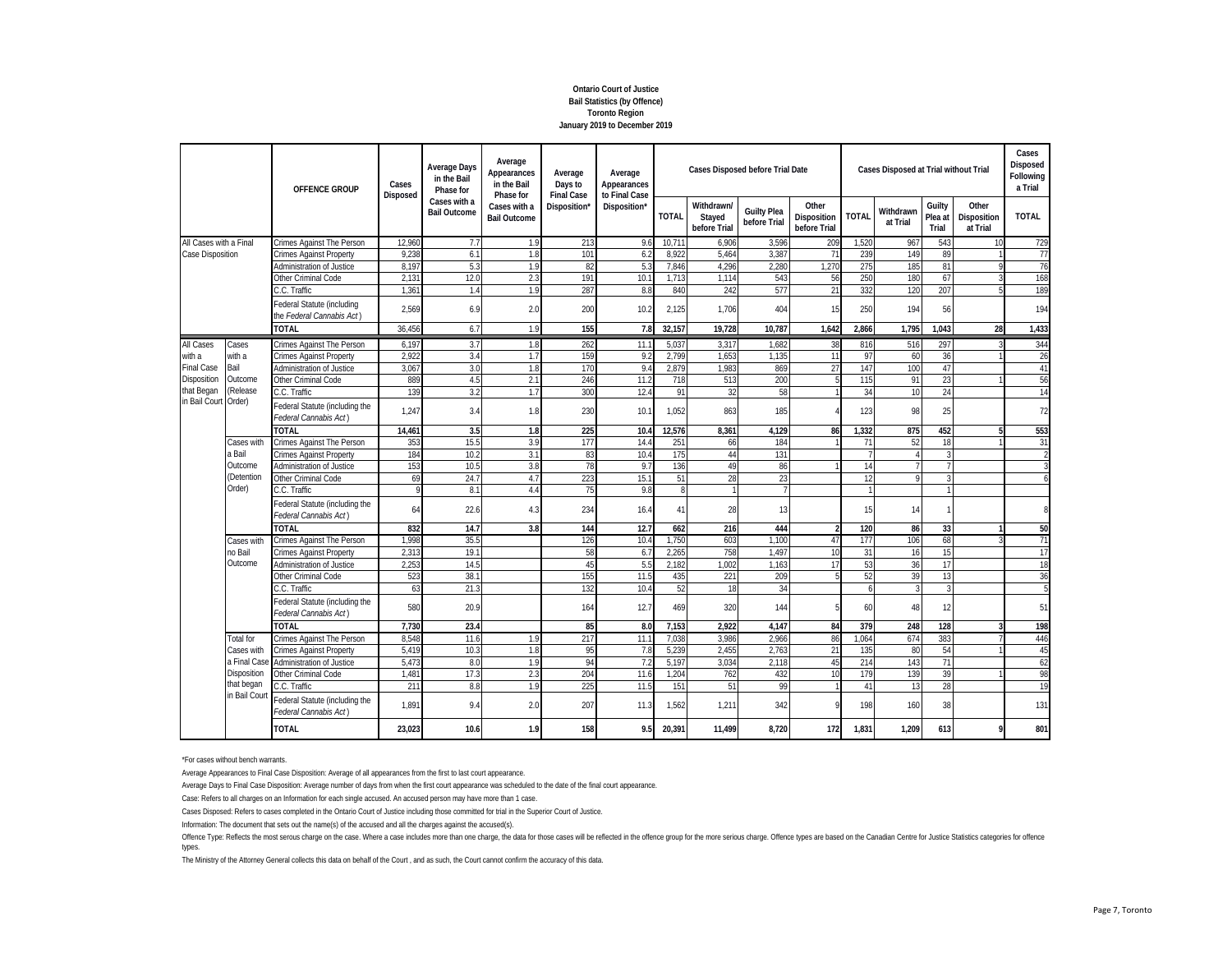## **Ontario Court of Justice Bail Statistics (by Offence) Toronto Region January 2019 to December 2019**

|                        |                                                                                                                                                                                                                                                                                                                                                                                                                                                              | OFFENCE GROUP<br>Crimes Against The Person<br><b>Crimes Against Property</b><br><b>Administration of Justice</b><br>Other Criminal Code<br>C.C. Traffic<br>Federal Statute (including<br>the Federal Cannabis Act)<br><b>TOTAL</b><br>Crimes Against The Person<br><b>Crimes Against Property</b><br><b>Administration of Justice</b><br>Other Criminal Code<br>C.C. Traffic<br>Federal Statute (including the<br>Federal Cannabis Act)<br><b>TOTAL</b><br>Crimes Against The Person<br><b>Crimes Against Property</b><br>Administration of Justice<br>Other Criminal Code<br>C.C. Traffic<br>Federal Statute (including the | Cases<br>Disposed                   | <b>Average Days</b><br>in the Bail<br>Phase for | Average<br>Appearances<br>in the Bail<br>Phase for | Average<br>Days to<br><b>Final Case</b> | Average<br>Appearances<br>to Final Case |                                      |                                    | <b>Cases Disposed before Trial Date</b> |                | Cases Disposed at Trial without Trial |                            |                                  |              | Cases<br>Disposed<br>Following<br>a Trial |
|------------------------|--------------------------------------------------------------------------------------------------------------------------------------------------------------------------------------------------------------------------------------------------------------------------------------------------------------------------------------------------------------------------------------------------------------------------------------------------------------|------------------------------------------------------------------------------------------------------------------------------------------------------------------------------------------------------------------------------------------------------------------------------------------------------------------------------------------------------------------------------------------------------------------------------------------------------------------------------------------------------------------------------------------------------------------------------------------------------------------------------|-------------------------------------|-------------------------------------------------|----------------------------------------------------|-----------------------------------------|-----------------------------------------|--------------------------------------|------------------------------------|-----------------------------------------|----------------|---------------------------------------|----------------------------|----------------------------------|--------------|-------------------------------------------|
|                        | Cases<br>with a<br>Bail<br>Outcome<br>(Release<br>Cases with<br>a Bail<br>Outcome<br>(Detention<br>Order)<br>Federal Cannabis Act)<br>TOTAL<br>Crimes Against The Person<br>Cases with<br>no Bail<br><b>Crimes Against Property</b><br>Outcome<br>Administration of Justice<br>Other Criminal Code<br>C.C. Traffic<br>Federal Cannabis Act)<br><b>TOTAL</b><br><b>Total for</b><br>Crimes Against The Person<br>Cases with<br><b>Crimes Against Property</b> |                                                                                                                                                                                                                                                                                                                                                                                                                                                                                                                                                                                                                              | Cases with a<br><b>Bail Outcome</b> | Cases with a<br><b>Bail Outcome</b>             | Disposition'                                       | Disposition*                            | <b>TOTAL</b>                            | Withdrawn/<br>Stayed<br>before Trial | <b>Guilty Plea</b><br>before Trial | Other<br>Disposition<br>before Trial    | <b>TOTAL</b>   | Withdrawn<br>at Trial                 | Guilty<br>Plea at<br>Trial | Other<br>Disposition<br>at Trial | <b>TOTAL</b> |                                           |
| All Cases with a Final |                                                                                                                                                                                                                                                                                                                                                                                                                                                              |                                                                                                                                                                                                                                                                                                                                                                                                                                                                                                                                                                                                                              | 12,960                              | 7.7                                             | 1.9                                                | 213                                     | 9.6                                     | 10,71                                | 6,906                              | 3,596                                   | 209            | 1,520                                 | 967                        | 543                              | 10           | 729                                       |
| Case Disposition       |                                                                                                                                                                                                                                                                                                                                                                                                                                                              |                                                                                                                                                                                                                                                                                                                                                                                                                                                                                                                                                                                                                              | 9.238                               | 6.1                                             | 1.8                                                | 101                                     | 6.2                                     | 8.922                                | 5.464                              | 3,387                                   | 71             | 239                                   | 149                        | 89                               |              | 77                                        |
|                        |                                                                                                                                                                                                                                                                                                                                                                                                                                                              |                                                                                                                                                                                                                                                                                                                                                                                                                                                                                                                                                                                                                              | 8.19                                | 5.3                                             | 1.9                                                | 82                                      | 5.3                                     | 7,846                                | 4,296                              | 2,280                                   | 1,270          | 275                                   | 185                        | 81                               |              | 76                                        |
|                        |                                                                                                                                                                                                                                                                                                                                                                                                                                                              |                                                                                                                                                                                                                                                                                                                                                                                                                                                                                                                                                                                                                              | 2,13'                               | 12.0                                            | 2.3                                                | 191                                     | 10.                                     | 1,713                                | 1.114                              | 543                                     | 56             | 250                                   | 180                        | 67                               |              | 168                                       |
|                        |                                                                                                                                                                                                                                                                                                                                                                                                                                                              |                                                                                                                                                                                                                                                                                                                                                                                                                                                                                                                                                                                                                              | 1.361                               | 1.4                                             | 1.9                                                | 287                                     | 8.8                                     | 840                                  | 242                                | 577                                     | 21             | 332                                   | 120                        | 207                              |              | 189                                       |
|                        |                                                                                                                                                                                                                                                                                                                                                                                                                                                              |                                                                                                                                                                                                                                                                                                                                                                                                                                                                                                                                                                                                                              | 2.569                               | 6.9                                             | 2.0                                                | 200                                     | 10.2                                    | 2,125                                | 1.706                              | 404                                     | 15             | 250                                   | 194                        | 56                               |              | 194                                       |
|                        |                                                                                                                                                                                                                                                                                                                                                                                                                                                              |                                                                                                                                                                                                                                                                                                                                                                                                                                                                                                                                                                                                                              | 36.456                              | 6.7                                             | 1.9                                                | 155                                     | 7.8                                     | 32,157                               | 19,728                             | 10.787                                  | 1.642          | 2.866                                 | 1.795                      | 1.043                            | 28           | 1,433                                     |
| All Cases              |                                                                                                                                                                                                                                                                                                                                                                                                                                                              |                                                                                                                                                                                                                                                                                                                                                                                                                                                                                                                                                                                                                              | 6,197                               | 3.7                                             | 1.8                                                | 262                                     | 11.                                     | 5,037                                | 3,317                              | 1,682                                   | 38             | 816                                   | 516                        | 297                              | 3            | 344                                       |
| with a                 |                                                                                                                                                                                                                                                                                                                                                                                                                                                              |                                                                                                                                                                                                                                                                                                                                                                                                                                                                                                                                                                                                                              | 2,922                               | 3.4                                             | 1.7                                                | 159                                     | 9.2                                     | 2,799                                | 1,653                              | 1,135                                   | 11             | 97                                    | 60                         | 36                               |              | 26                                        |
| <b>Final Case</b>      |                                                                                                                                                                                                                                                                                                                                                                                                                                                              |                                                                                                                                                                                                                                                                                                                                                                                                                                                                                                                                                                                                                              | 3.06                                | 3.0                                             | 1.8                                                | 170                                     | 9.4                                     | 2,879                                | 1.983                              | 869                                     | 27             | 147                                   | 100                        | 47                               |              | 41                                        |
| Disposition            |                                                                                                                                                                                                                                                                                                                                                                                                                                                              |                                                                                                                                                                                                                                                                                                                                                                                                                                                                                                                                                                                                                              | 889                                 | 4.5                                             | 2.1                                                | 246                                     | 11.2                                    | 718                                  | 513                                | 200                                     |                | 115                                   | 91                         | 23                               |              | 56                                        |
| that Began             |                                                                                                                                                                                                                                                                                                                                                                                                                                                              |                                                                                                                                                                                                                                                                                                                                                                                                                                                                                                                                                                                                                              | 139                                 | 3.2                                             | 1.7                                                | 300                                     | 12.4                                    | 91                                   | 32                                 | 58                                      |                | 34                                    | 10                         | 24                               |              | 14                                        |
| in Bail Court Order)   |                                                                                                                                                                                                                                                                                                                                                                                                                                                              |                                                                                                                                                                                                                                                                                                                                                                                                                                                                                                                                                                                                                              | 1,247                               | 3.4                                             | 1.8                                                | 230                                     | 10.1                                    | 1,052                                | 863                                | 185                                     |                | 123                                   | 98                         | 25                               |              | 72                                        |
|                        |                                                                                                                                                                                                                                                                                                                                                                                                                                                              |                                                                                                                                                                                                                                                                                                                                                                                                                                                                                                                                                                                                                              | 14,461                              | 3.5                                             | 1.8                                                | 225                                     | 10.4                                    | 12.576                               | 8,361                              | 4,129                                   | 86             | 1,332                                 | 875                        | 452                              | 5            | 553                                       |
|                        |                                                                                                                                                                                                                                                                                                                                                                                                                                                              |                                                                                                                                                                                                                                                                                                                                                                                                                                                                                                                                                                                                                              | 353                                 | 15.5                                            | 3.9                                                | 177                                     | 14.4                                    | 251                                  | 66                                 | 184                                     |                | 71                                    | 52                         | 18                               |              | 31                                        |
|                        |                                                                                                                                                                                                                                                                                                                                                                                                                                                              |                                                                                                                                                                                                                                                                                                                                                                                                                                                                                                                                                                                                                              | 184                                 | 10.2                                            | 3.1                                                | 83                                      | 10.4                                    | 175                                  | 44                                 | 131                                     |                |                                       | Δ                          | $\mathbf{3}$                     |              |                                           |
|                        |                                                                                                                                                                                                                                                                                                                                                                                                                                                              |                                                                                                                                                                                                                                                                                                                                                                                                                                                                                                                                                                                                                              | 153                                 | 10.5                                            | 3.8                                                | 78                                      | 9.7                                     | 136                                  | 49                                 | 86                                      |                | 14                                    |                            | $\overline{7}$                   |              | $\mathbf{3}$                              |
|                        |                                                                                                                                                                                                                                                                                                                                                                                                                                                              |                                                                                                                                                                                                                                                                                                                                                                                                                                                                                                                                                                                                                              | 69                                  | 24.7                                            | 4.7                                                | 223                                     | 15.1                                    | 51                                   | 28                                 | 23                                      |                | 12                                    | 9                          | 3                                |              | 6                                         |
|                        |                                                                                                                                                                                                                                                                                                                                                                                                                                                              |                                                                                                                                                                                                                                                                                                                                                                                                                                                                                                                                                                                                                              |                                     | 8.1                                             | 4.4                                                | 75                                      | 9.8                                     | 8                                    | $\mathbf{1}$                       | $\overline{7}$                          |                |                                       |                            | $\mathbf{1}$                     |              |                                           |
|                        |                                                                                                                                                                                                                                                                                                                                                                                                                                                              |                                                                                                                                                                                                                                                                                                                                                                                                                                                                                                                                                                                                                              | 64                                  | 22.6                                            | 4.3                                                | 234                                     | 16.4                                    | 41                                   | 28                                 | 13                                      |                | 15                                    | 14                         | $\mathbf{1}$                     |              | 8                                         |
|                        |                                                                                                                                                                                                                                                                                                                                                                                                                                                              |                                                                                                                                                                                                                                                                                                                                                                                                                                                                                                                                                                                                                              | 832                                 | 14.7                                            | 3.8                                                | 144                                     | 12.7                                    | 662                                  | 216                                | 444                                     | $\overline{2}$ | 120                                   | 86                         | 33                               |              | 50                                        |
|                        |                                                                                                                                                                                                                                                                                                                                                                                                                                                              |                                                                                                                                                                                                                                                                                                                                                                                                                                                                                                                                                                                                                              | 1,998                               | 35.5                                            |                                                    | 126                                     | 10.4                                    | 1,750                                | 603                                | 1,100                                   | 47             | 177                                   | 106                        | 68                               |              | 71                                        |
|                        |                                                                                                                                                                                                                                                                                                                                                                                                                                                              |                                                                                                                                                                                                                                                                                                                                                                                                                                                                                                                                                                                                                              | 2.31                                | 19.                                             |                                                    | 58                                      | 6.7                                     | 2,265                                | 758                                | 1.497                                   | 10             | 31                                    | 16                         | 15                               |              | 17                                        |
|                        |                                                                                                                                                                                                                                                                                                                                                                                                                                                              |                                                                                                                                                                                                                                                                                                                                                                                                                                                                                                                                                                                                                              | 2,25                                | 14.5                                            |                                                    | 45                                      | 5.5                                     | 2,182                                | 1,002                              | 1,163                                   | 17             | 53                                    | 36                         | 17                               |              | 18                                        |
|                        |                                                                                                                                                                                                                                                                                                                                                                                                                                                              |                                                                                                                                                                                                                                                                                                                                                                                                                                                                                                                                                                                                                              | 523                                 | 38.                                             |                                                    | 155                                     | 11.5                                    | 435                                  | 221                                | 209                                     | 5              | 52                                    | 39                         | 13                               |              | 36                                        |
|                        |                                                                                                                                                                                                                                                                                                                                                                                                                                                              |                                                                                                                                                                                                                                                                                                                                                                                                                                                                                                                                                                                                                              | 63                                  | 21.                                             |                                                    | 132                                     | 10.4                                    | 52                                   | 18                                 | 34                                      |                | $\epsilon$                            | 3                          | 3                                |              |                                           |
|                        |                                                                                                                                                                                                                                                                                                                                                                                                                                                              | Federal Statute (including the                                                                                                                                                                                                                                                                                                                                                                                                                                                                                                                                                                                               | 580                                 | 20.9                                            |                                                    | 164                                     | 12.7                                    | 469                                  | 320                                | 144                                     | 5              | 60                                    | 48                         | 12                               |              | 51                                        |
|                        |                                                                                                                                                                                                                                                                                                                                                                                                                                                              |                                                                                                                                                                                                                                                                                                                                                                                                                                                                                                                                                                                                                              | 7.730                               | 23.4                                            |                                                    | 85                                      | 8.0                                     | 7.153                                | 2.922                              | 4.147                                   | 84             | 379                                   | 248                        | 128                              |              | 198                                       |
|                        |                                                                                                                                                                                                                                                                                                                                                                                                                                                              |                                                                                                                                                                                                                                                                                                                                                                                                                                                                                                                                                                                                                              | 8,548                               | 11.6                                            | 1.9                                                | 217                                     | 11.1                                    | 7,038                                | 3,986                              | 2,966                                   | 86             | 1.064                                 | 674                        | 383                              |              | 446                                       |
|                        |                                                                                                                                                                                                                                                                                                                                                                                                                                                              |                                                                                                                                                                                                                                                                                                                                                                                                                                                                                                                                                                                                                              | 5,419                               | 10.3                                            | 1.8                                                | 95                                      | 7.8                                     | 5,239                                | 2,455                              | 2.763                                   | 21             | 135                                   | 80                         | 54                               |              | 45                                        |
|                        | a Final Cas                                                                                                                                                                                                                                                                                                                                                                                                                                                  | <b>Administration of Justice</b>                                                                                                                                                                                                                                                                                                                                                                                                                                                                                                                                                                                             | 5.47                                | 8 <sub>c</sub>                                  | 1.9                                                | 94                                      |                                         | 5,197                                | 3.034                              | 2.118                                   | 45             | 214                                   | 143                        | 71                               |              | 62                                        |
|                        | Disposition                                                                                                                                                                                                                                                                                                                                                                                                                                                  | Other Criminal Code                                                                                                                                                                                                                                                                                                                                                                                                                                                                                                                                                                                                          | $1.48$ <sup>-</sup>                 | 17.3                                            | 2.3                                                | 204                                     | 11.0                                    | 1,204                                | 762                                | 432                                     | 10             | 179                                   | 139                        | 39                               |              | 98                                        |
|                        | that began                                                                                                                                                                                                                                                                                                                                                                                                                                                   | C.C. Traffic                                                                                                                                                                                                                                                                                                                                                                                                                                                                                                                                                                                                                 | 211                                 | 8.8                                             | 1.9                                                | 225                                     | 11.5                                    | 151                                  | 51                                 | 99                                      |                | 41                                    | 13                         | 28                               |              | 19                                        |
|                        | in Bail Cour                                                                                                                                                                                                                                                                                                                                                                                                                                                 | Federal Statute (including the<br>Federal Cannabis Act)                                                                                                                                                                                                                                                                                                                                                                                                                                                                                                                                                                      | 1.891                               | 9.4                                             | 2.0                                                | 207                                     | 11.3                                    | 1,562                                | 1,211                              | 342                                     | 9              | 198                                   | 160                        | 38                               |              | 131                                       |
|                        |                                                                                                                                                                                                                                                                                                                                                                                                                                                              | <b>TOTAL</b>                                                                                                                                                                                                                                                                                                                                                                                                                                                                                                                                                                                                                 | 23,023                              | 10.6                                            | 1.9                                                | 158                                     | 9.5                                     | 20,391                               | 11,499                             | 8,720                                   | 172            | 1,831                                 | 1,209                      | 613                              | 9            | 801                                       |

\*For cases without bench warrants.

Average Appearances to Final Case Disposition: Average of all appearances from the first to last court appearance.

Average Days to Final Case Disposition: Average number of days from when the first court appearance was scheduled to the date of the final court appearance.

Case: Refers to all charges on an Information for each single accused. An accused person may have more than 1 case.

Cases Disposed: Refers to cases completed in the Ontario Court of Justice including those committed for trial in the Superior Court of Justice.

Information: The document that sets out the name(s) of the accused and all the charges against the accused(s).

Offence Type: Reflects the most serous charge on the case. Where a case includes more than one charge, the data for those cases will be reflected in the offence group for the more exious charge. Offence types are based on types.